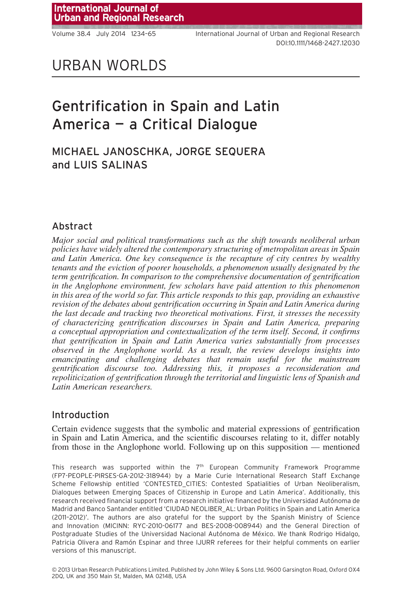Volume 38.4 July 2014 1234–65 International Journal of Urban and Regional Research DOI:10.1111/1468-2427.12030

# URBAN WORLDS

# Gentrification in Spain and Latin America — a Critical Dialogue

MICHAEL JANOSCHKA, JORGE SEQUERA and LUIS SALINAS

# Abstract

*Major social and political transformations such as the shift towards neoliberal urban policies have widely altered the contemporary structuring of metropolitan areas in Spain and Latin America. One key consequence is the recapture of city centres by wealthy tenants and the eviction of poorer households, a phenomenon usually designated by the term gentrification. In comparison to the comprehensive documentation of gentrification in the Anglophone environment, few scholars have paid attention to this phenomenon in this area of the world so far. This article responds to this gap, providing an exhaustive revision of the debates about gentrification occurring in Spain and Latin America during the last decade and tracking two theoretical motivations. First, it stresses the necessity of characterizing gentrification discourses in Spain and Latin America, preparing a conceptual appropriation and contextualization of the term itself. Second, it confirms that gentrification in Spain and Latin America varies substantially from processes observed in the Anglophone world. As a result, the review develops insights into emancipating and challenging debates that remain useful for the mainstream gentrification discourse too. Addressing this, it proposes a reconsideration and repoliticization of gentrification through the territorial and linguistic lens of Spanish and Latin American researchers.*

## Introduction

Certain evidence suggests that the symbolic and material expressions of gentrification in Spain and Latin America, and the scientific discourses relating to it, differ notably from those in the Anglophone world. Following up on this supposition — mentioned

This research was supported within the  $7<sup>th</sup>$  European Community Framework Programme (FP7-PEOPLE-PIRSES-GA-2012-318944) by a Marie Curie International Research Staff Exchange Scheme Fellowship entitled 'CONTESTED\_CITIES: Contested Spatialities of Urban Neoliberalism, Dialogues between Emerging Spaces of Citizenship in Europe and Latin America'. Additionally, this research received financial support from a research initiative financed by the Universidad Autónoma de Madrid and Banco Santander entitled 'CIUDAD NEOLIBER\_AL: Urban Politics in Spain and Latin America (2011–2012)'. The authors are also grateful for the support by the Spanish Ministry of Science and Innovation (MICINN: RYC-2010-06177 and BES-2008-008944) and the General Direction of Postgraduate Studies of the Universidad Nacional Autónoma de México. We thank Rodrigo Hidalgo, Patricia Olivera and Ramón Espinar and three IJURR referees for their helpful comments on earlier versions of this manuscript.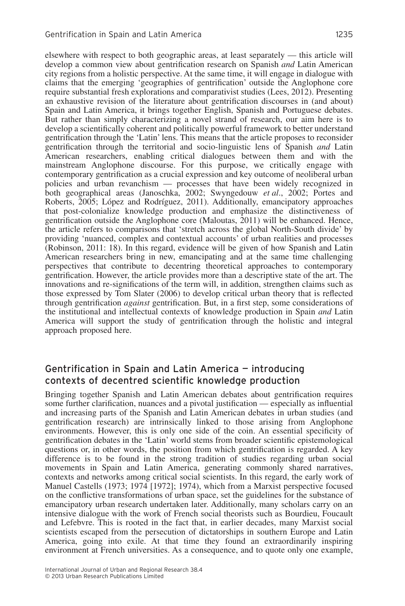elsewhere with respect to both geographic areas, at least separately — this article will develop a common view about gentrification research on Spanish *and* Latin American city regions from a holistic perspective. At the same time, it will engage in dialogue with claims that the emerging 'geographies of gentrification' outside the Anglophone core require substantial fresh explorations and comparativist studies (Lees, 2012). Presenting an exhaustive revision of the literature about gentrification discourses in (and about) Spain and Latin America, it brings together English, Spanish and Portuguese debates. But rather than simply characterizing a novel strand of research, our aim here is to develop a scientifically coherent and politically powerful framework to better understand gentrification through the 'Latin' lens. This means that the article proposes to reconsider gentrification through the territorial and socio-linguistic lens of Spanish *and* Latin American researchers, enabling critical dialogues between them and with the mainstream Anglophone discourse. For this purpose, we critically engage with contemporary gentrification as a crucial expression and key outcome of neoliberal urban policies and urban revanchism — processes that have been widely recognized in both geographical areas (Janoschka, 2002; Swyngedouw *et al*., 2002; Portes and Roberts, 2005; López and Rodríguez, 2011). Additionally, emancipatory approaches that post-colonialize knowledge production and emphasize the distinctiveness of gentrification outside the Anglophone core (Maloutas, 2011) will be enhanced. Hence, the article refers to comparisons that 'stretch across the global North-South divide' by providing 'nuanced, complex and contextual accounts' of urban realities and processes (Robinson, 2011: 18). In this regard, evidence will be given of how Spanish and Latin American researchers bring in new, emancipating and at the same time challenging perspectives that contribute to decentring theoretical approaches to contemporary gentrification. However, the article provides more than a descriptive state of the art. The innovations and re-significations of the term will, in addition, strengthen claims such as those expressed by Tom Slater (2006) to develop critical urban theory that is reflected through gentrification *against* gentrification. But, in a first step, some considerations of the institutional and intellectual contexts of knowledge production in Spain *and* Latin America will support the study of gentrification through the holistic and integral approach proposed here.

# Gentrification in Spain and Latin America — introducing contexts of decentred scientific knowledge production

Bringing together Spanish and Latin American debates about gentrification requires some further clarification, nuances and a pivotal justification — especially as influential and increasing parts of the Spanish and Latin American debates in urban studies (and gentrification research) are intrinsically linked to those arising from Anglophone environments. However, this is only one side of the coin. An essential specificity of gentrification debates in the 'Latin' world stems from broader scientific epistemological questions or, in other words, the position from which gentrification is regarded. A key difference is to be found in the strong tradition of studies regarding urban social movements in Spain and Latin America, generating commonly shared narratives, contexts and networks among critical social scientists. In this regard, the early work of Manuel Castells (1973; 1974 [1972]; 1974), which from a Marxist perspective focused on the conflictive transformations of urban space, set the guidelines for the substance of emancipatory urban research undertaken later. Additionally, many scholars carry on an intensive dialogue with the work of French social theorists such as Bourdieu, Foucault and Lefebvre. This is rooted in the fact that, in earlier decades, many Marxist social scientists escaped from the persecution of dictatorships in southern Europe and Latin America, going into exile. At that time they found an extraordinarily inspiring environment at French universities. As a consequence, and to quote only one example,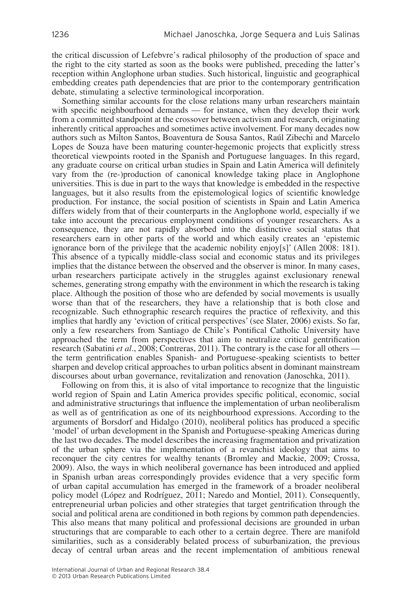the critical discussion of Lefebvre's radical philosophy of the production of space and the right to the city started as soon as the books were published, preceding the latter's reception within Anglophone urban studies. Such historical, linguistic and geographical embedding creates path dependencies that are prior to the contemporary gentrification debate, stimulating a selective terminological incorporation.

Something similar accounts for the close relations many urban researchers maintain with specific neighbourhood demands — for instance, when they develop their work from a committed standpoint at the crossover between activism and research, originating inherently critical approaches and sometimes active involvement. For many decades now authors such as Milton Santos, Boaventura de Sousa Santos, Raúl Zibechi and Marcelo Lopes de Souza have been maturing counter-hegemonic projects that explicitly stress theoretical viewpoints rooted in the Spanish and Portuguese languages. In this regard, any graduate course on critical urban studies in Spain and Latin America will definitely vary from the (re-)production of canonical knowledge taking place in Anglophone universities. This is due in part to the ways that knowledge is embedded in the respective languages, but it also results from the epistemological logics of scientific knowledge production. For instance, the social position of scientists in Spain and Latin America differs widely from that of their counterparts in the Anglophone world, especially if we take into account the precarious employment conditions of younger researchers. As a consequence, they are not rapidly absorbed into the distinctive social status that researchers earn in other parts of the world and which easily creates an 'epistemic ignorance born of the privilege that the academic nobility enjoy[s]' (Allen 2008: 181). This absence of a typically middle-class social and economic status and its privileges implies that the distance between the observed and the observer is minor. In many cases, urban researchers participate actively in the struggles against exclusionary renewal schemes, generating strong empathy with the environment in which the research is taking place. Although the position of those who are defended by social movements is usually worse than that of the researchers, they have a relationship that is both close and recognizable. Such ethnographic research requires the practice of reflexivity, and this implies that hardly any 'eviction of critical perspectives' (see Slater, 2006) exists. So far, only a few researchers from Santiago de Chile's Pontifical Catholic University have approached the term from perspectives that aim to neutralize critical gentrification research (Sabatini *et al*., 2008; Contreras, 2011). The contrary is the case for all others the term gentrification enables Spanish- and Portuguese-speaking scientists to better sharpen and develop critical approaches to urban politics absent in dominant mainstream discourses about urban governance, revitalization and renovation (Janoschka, 2011).

Following on from this, it is also of vital importance to recognize that the linguistic world region of Spain and Latin America provides specific political, economic, social and administrative structurings that influence the implementation of urban neoliberalism as well as of gentrification as one of its neighbourhood expressions. According to the arguments of Borsdorf and Hidalgo (2010), neoliberal politics has produced a specific 'model' of urban development in the Spanish and Portuguese-speaking Americas during the last two decades. The model describes the increasing fragmentation and privatization of the urban sphere via the implementation of a revanchist ideology that aims to reconquer the city centres for wealthy tenants (Bromley and Mackie, 2009; Crossa, 2009). Also, the ways in which neoliberal governance has been introduced and applied in Spanish urban areas correspondingly provides evidence that a very specific form of urban capital accumulation has emerged in the framework of a broader neoliberal policy model (López and Rodríguez, 2011; Naredo and Montiel, 2011). Consequently, entrepreneurial urban policies and other strategies that target gentrification through the social and political arena are conditioned in both regions by common path dependencies. This also means that many political and professional decisions are grounded in urban structurings that are comparable to each other to a certain degree. There are manifold similarities, such as a considerably belated process of suburbanization, the previous decay of central urban areas and the recent implementation of ambitious renewal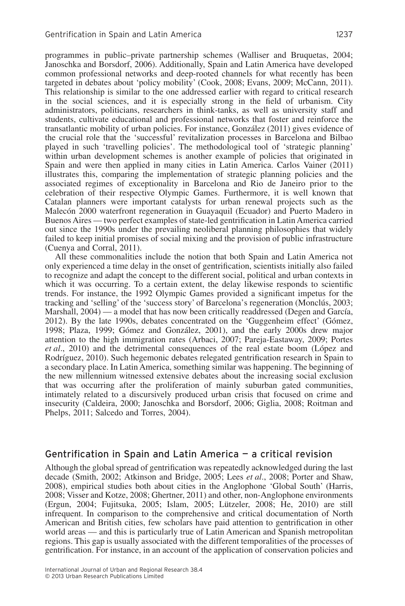programmes in public–private partnership schemes (Walliser and Bruquetas, 2004; Janoschka and Borsdorf, 2006). Additionally, Spain and Latin America have developed common professional networks and deep-rooted channels for what recently has been targeted in debates about 'policy mobility' (Cook, 2008; Evans, 2009; McCann, 2011). This relationship is similar to the one addressed earlier with regard to critical research in the social sciences, and it is especially strong in the field of urbanism. City administrators, politicians, researchers in think-tanks, as well as university staff and students, cultivate educational and professional networks that foster and reinforce the transatlantic mobility of urban policies. For instance, González (2011) gives evidence of the crucial role that the 'successful' revitalization processes in Barcelona and Bilbao played in such 'travelling policies'. The methodological tool of 'strategic planning' within urban development schemes is another example of policies that originated in Spain and were then applied in many cities in Latin America. Carlos Vainer (2011) illustrates this, comparing the implementation of strategic planning policies and the associated regimes of exceptionality in Barcelona and Rio de Janeiro prior to the celebration of their respective Olympic Games. Furthermore, it is well known that Catalan planners were important catalysts for urban renewal projects such as the Malecón 2000 waterfront regeneration in Guayaquil (Ecuador) and Puerto Madero in Buenos Aires — two perfect examples of state-led gentrification in Latin America carried out since the 1990s under the prevailing neoliberal planning philosophies that widely failed to keep initial promises of social mixing and the provision of public infrastructure (Cuenya and Corral, 2011).

All these commonalities include the notion that both Spain and Latin America not only experienced a time delay in the onset of gentrification, scientists initially also failed to recognize and adapt the concept to the different social, political and urban contexts in which it was occurring. To a certain extent, the delay likewise responds to scientific trends. For instance, the 1992 Olympic Games provided a significant impetus for the tracking and 'selling' of the 'success story' of Barcelona's regeneration (Monclús, 2003; Marshall, 2004) — a model that has now been critically readdressed (Degen and García, 2012). By the late 1990s, debates concentrated on the 'Guggenheim effect' (Gómez, 1998; Plaza, 1999; Gómez and González, 2001), and the early 2000s drew major attention to the high immigration rates (Arbaci, 2007; Pareja-Eastaway, 2009; Portes *et al*., 2010) and the detrimental consequences of the real estate boom (López and Rodríguez, 2010). Such hegemonic debates relegated gentrification research in Spain to a secondary place. In Latin America, something similar was happening. The beginning of the new millennium witnessed extensive debates about the increasing social exclusion that was occurring after the proliferation of mainly suburban gated communities, intimately related to a discursively produced urban crisis that focused on crime and insecurity (Caldeira, 2000; Janoschka and Borsdorf, 2006; Giglia, 2008; Roitman and Phelps, 2011; Salcedo and Torres, 2004).

### Gentrification in Spain and Latin America — a critical revision

Although the global spread of gentrification was repeatedly acknowledged during the last decade (Smith, 2002; Atkinson and Bridge, 2005; Lees *et al*., 2008; Porter and Shaw, 2008), empirical studies both about cities in the Anglophone 'Global South' (Harris, 2008; Visser and Kotze, 2008; Ghertner, 2011) and other, non-Anglophone environments (Ergun, 2004; Fujitsuka, 2005; Islam, 2005; Lützeler, 2008; He, 2010) are still infrequent. In comparison to the comprehensive and critical documentation of North American and British cities, few scholars have paid attention to gentrification in other world areas — and this is particularly true of Latin American and Spanish metropolitan regions. This gap is usually associated with the different temporalities of the processes of gentrification. For instance, in an account of the application of conservation policies and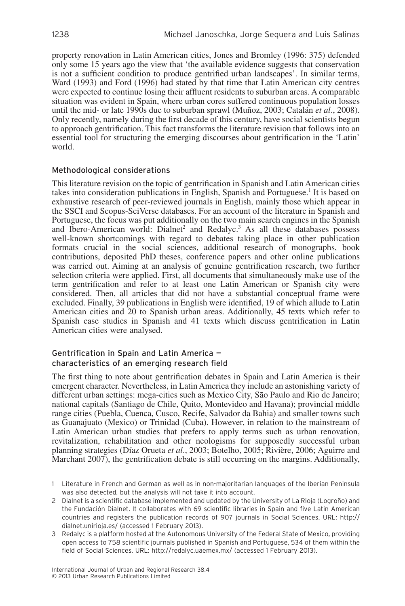property renovation in Latin American cities, Jones and Bromley (1996: 375) defended only some 15 years ago the view that 'the available evidence suggests that conservation is not a sufficient condition to produce gentrified urban landscapes'. In similar terms, Ward (1993) and Ford (1996) had stated by that time that Latin American city centres were expected to continue losing their affluent residents to suburban areas. A comparable situation was evident in Spain, where urban cores suffered continuous population losses until the mid- or late 1990s due to suburban sprawl (Muñoz, 2003; Catalán *et al*., 2008). Only recently, namely during the first decade of this century, have social scientists begun to approach gentrification. This fact transforms the literature revision that follows into an essential tool for structuring the emerging discourses about gentrification in the 'Latin' world.

#### Methodological considerations

This literature revision on the topic of gentrification in Spanish and Latin American cities takes into consideration publications in English, Spanish and Portuguese.<sup>1</sup> It is based on exhaustive research of peer-reviewed journals in English, mainly those which appear in the SSCI and Scopus-SciVerse databases. For an account of the literature in Spanish and Portuguese, the focus was put additionally on the two main search engines in the Spanish and Ibero-American world: Dialnet<sup>2</sup> and Redalyc.<sup>3</sup> As all these databases possess well-known shortcomings with regard to debates taking place in other publication formats crucial in the social sciences, additional research of monographs, book contributions, deposited PhD theses, conference papers and other online publications was carried out. Aiming at an analysis of genuine gentrification research, two further selection criteria were applied. First, all documents that simultaneously make use of the term gentrification and refer to at least one Latin American or Spanish city were considered. Then, all articles that did not have a substantial conceptual frame were excluded. Finally, 39 publications in English were identified, 19 of which allude to Latin American cities and 20 to Spanish urban areas. Additionally, 45 texts which refer to Spanish case studies in Spanish and 41 texts which discuss gentrification in Latin American cities were analysed.

#### Gentrification in Spain and Latin America characteristics of an emerging research field

The first thing to note about gentrification debates in Spain and Latin America is their emergent character. Nevertheless, in Latin America they include an astonishing variety of different urban settings: mega-cities such as Mexico City, São Paulo and Rio de Janeiro; national capitals (Santiago de Chile, Quito, Montevideo and Havana); provincial middle range cities (Puebla, Cuenca, Cusco, Recife, Salvador da Bahia) and smaller towns such as Guanajuato (Mexico) or Trinidad (Cuba). However, in relation to the mainstream of Latin American urban studies that prefers to apply terms such as urban renovation, revitalization, rehabilitation and other neologisms for supposedly successful urban planning strategies (Díaz Orueta *et al*., 2003; Botelho, 2005; Rivière, 2006; Aguirre and Marchant 2007), the gentrification debate is still occurring on the margins. Additionally,

<sup>1</sup> Literature in French and German as well as in non-majoritarian languages of the Iberian Peninsula was also detected, but the analysis will not take it into account.

<sup>2</sup> Dialnet is a scientific database implemented and updated by the University of La Rioja (Logroño) and the Fundación Dialnet. It collaborates with 69 scientific libraries in Spain and five Latin American countries and registers the publication records of 907 journals in Social Sciences. URL: http:// dialnet.unirioja.es/ (accessed 1 February 2013).

<sup>3</sup> Redalyc is a platform hosted at the Autonomous University of the Federal State of Mexico, providing open access to 758 scientific journals published in Spanish and Portuguese, 534 of them within the field of Social Sciences. URL: http://redalyc.uaemex.mx/ (accessed 1 February 2013).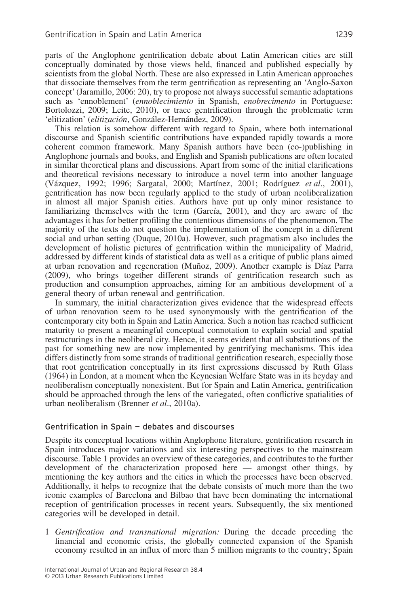parts of the Anglophone gentrification debate about Latin American cities are still conceptually dominated by those views held, financed and published especially by scientists from the global North. These are also expressed in Latin American approaches that dissociate themselves from the term gentrification as representing an 'Anglo-Saxon concept' (Jaramillo, 2006: 20), try to propose not always successful semantic adaptations such as 'ennoblement' (*ennoblecimiento* in Spanish, *enobrecimento* in Portuguese: Bortolozzi, 2009; Leite, 2010), or trace gentrification through the problematic term 'elitization' (*elitización*, González-Hernández, 2009).

This relation is somehow different with regard to Spain, where both international discourse and Spanish scientific contributions have expanded rapidly towards a more coherent common framework. Many Spanish authors have been (co-)publishing in Anglophone journals and books, and English and Spanish publications are often located in similar theoretical plans and discussions. Apart from some of the initial clarifications and theoretical revisions necessary to introduce a novel term into another language (Vázquez, 1992; 1996; Sargatal, 2000; Martínez, 2001; Rodríguez *et al*., 2001), gentrification has now been regularly applied to the study of urban neoliberalization in almost all major Spanish cities. Authors have put up only minor resistance to familiarizing themselves with the term (García, 2001), and they are aware of the advantages it has for better profiling the contentious dimensions of the phenomenon. The majority of the texts do not question the implementation of the concept in a different social and urban setting (Duque, 2010a). However, such pragmatism also includes the development of holistic pictures of gentrification within the municipality of Madrid, addressed by different kinds of statistical data as well as a critique of public plans aimed at urban renovation and regeneration (Muñoz, 2009). Another example is Díaz Parra (2009), who brings together different strands of gentrification research such as production and consumption approaches, aiming for an ambitious development of a general theory of urban renewal and gentrification.

In summary, the initial characterization gives evidence that the widespread effects of urban renovation seem to be used synonymously with the gentrification of the contemporary city both in Spain and Latin America. Such a notion has reached sufficient maturity to present a meaningful conceptual connotation to explain social and spatial restructurings in the neoliberal city. Hence, it seems evident that all substitutions of the past for something new are now implemented by gentrifying mechanisms. This idea differs distinctly from some strands of traditional gentrification research, especially those that root gentrification conceptually in its first expressions discussed by Ruth Glass (1964) in London, at a moment when the Keynesian Welfare State was in its heyday and neoliberalism conceptually nonexistent. But for Spain and Latin America, gentrification should be approached through the lens of the variegated, often conflictive spatialities of urban neoliberalism (Brenner *et al*., 2010a).

#### Gentrification in Spain — debates and discourses

Despite its conceptual locations within Anglophone literature, gentrification research in Spain introduces major variations and six interesting perspectives to the mainstream discourse. Table 1 provides an overview of these categories, and contributes to the further development of the characterization proposed here — amongst other things, by mentioning the key authors and the cities in which the processes have been observed. Additionally, it helps to recognize that the debate consists of much more than the two iconic examples of Barcelona and Bilbao that have been dominating the international reception of gentrification processes in recent years. Subsequently, the six mentioned categories will be developed in detail.

1 *Gentrification and transnational migration:* During the decade preceding the financial and economic crisis, the globally connected expansion of the Spanish economy resulted in an influx of more than 5 million migrants to the country; Spain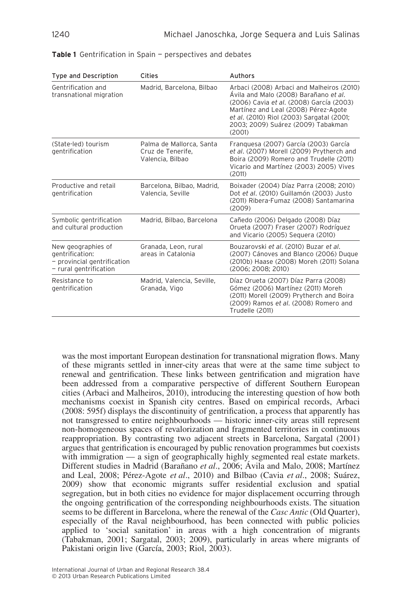| Cities                                                            | Authors                                                                                                                                                                                                                                                             |  |  |
|-------------------------------------------------------------------|---------------------------------------------------------------------------------------------------------------------------------------------------------------------------------------------------------------------------------------------------------------------|--|--|
| Madrid, Barcelona, Bilbao                                         | Arbaci (2008) Arbaci and Malheiros (2010)<br>Ávila and Malo (2008) Barañano et al.<br>(2006) Cavia et al. (2008) García (2003)<br>Martínez and Leal (2008) Pérez-Agote<br>et al. (2010) Riol (2003) Sargatal (2001;<br>2003; 2009) Suárez (2009) Tabakman<br>(2001) |  |  |
| Palma de Mallorca, Santa<br>Cruz de Tenerife,<br>Valencia, Bilbao | Franquesa (2007) García (2003) García<br>et al. (2007) Morell (2009) Prytherch and<br>Boira (2009) Romero and Trudelle (2011)<br>Vicario and Martínez (2003) 2005) Vives<br>(2011)                                                                                  |  |  |
| Barcelona, Bilbao, Madrid,<br>Valencia, Seville                   | Boixader (2004) Díaz Parra (2008; 2010)<br>Dot et al. (2010) Guillamón (2003) Justo<br>(2011) Ribera-Fumaz (2008) Santamarina<br>(2009)                                                                                                                             |  |  |
| Madrid, Bilbao, Barcelona                                         | Cañedo (2006) Delgado (2008) Díaz<br>Orueta (2007) Fraser (2007) Rodríguez<br>and Vicario (2005) Sequera (2010)                                                                                                                                                     |  |  |
| Granada, Leon, rural<br>areas in Catalonia                        | Bouzarovski et al. (2010) Buzar et al.<br>(2007) Cánoves and Blanco (2006) Duque<br>(2010b) Haase (2008) Moreh (2011) Solana<br>(2006; 2008; 2010)                                                                                                                  |  |  |
| Madrid, Valencia, Seville,<br>Granada, Vigo                       | Díaz Orueta (2007) Díaz Parra (2008)<br>Gómez (2006) Martínez (2011) Moreh<br>(2011) Morell (2009) Prytherch and Boira<br>(2009) Ramos et al. (2008) Romero and<br>Trudelle (2011)                                                                                  |  |  |
|                                                                   |                                                                                                                                                                                                                                                                     |  |  |

|  | Table 1 Gentrification in Spain - perspectives and debates |  |  |  |  |  |
|--|------------------------------------------------------------|--|--|--|--|--|
|--|------------------------------------------------------------|--|--|--|--|--|

was the most important European destination for transnational migration flows. Many of these migrants settled in inner-city areas that were at the same time subject to renewal and gentrification. These links between gentrification and migration have been addressed from a comparative perspective of different Southern European cities (Arbaci and Malheiros, 2010), introducing the interesting question of how both mechanisms coexist in Spanish city centres. Based on empirical records, Arbaci (2008: 595f) displays the discontinuity of gentrification, a process that apparently has not transgressed to entire neighbourhoods — historic inner-city areas still represent non-homogeneous spaces of revalorization and fragmented territories in continuous reappropriation. By contrasting two adjacent streets in Barcelona, Sargatal (2001) argues that gentrification is encouraged by public renovation programmes but coexists with immigration — a sign of geographically highly segmented real estate markets. Different studies in Madrid (Barañano *et al*., 2006; Ávila and Malo, 2008; Martínez and Leal, 2008; Pérez-Agote *et al*., 2010) and Bilbao (Cavia *et al*., 2008; Suárez, 2009) show that economic migrants suffer residential exclusion and spatial segregation, but in both cities no evidence for major displacement occurring through the ongoing gentrification of the corresponding neighbourhoods exists. The situation seems to be different in Barcelona, where the renewal of the *Casc Antic* (Old Quarter), especially of the Raval neighbourhood, has been connected with public policies applied to 'social sanitation' in areas with a high concentration of migrants (Tabakman, 2001; Sargatal, 2003; 2009), particularly in areas where migrants of Pakistani origin live (García, 2003; Riol, 2003).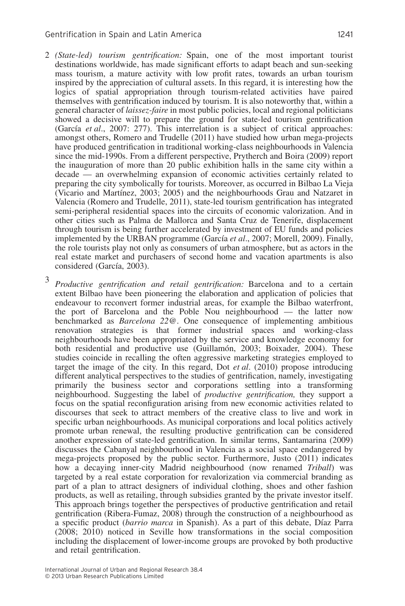#### Gentrification in Spain and Latin America 1241

2 *(State-led) tourism gentrification:* Spain, one of the most important tourist destinations worldwide, has made significant efforts to adapt beach and sun-seeking mass tourism, a mature activity with low profit rates, towards an urban tourism inspired by the appreciation of cultural assets. In this regard, it is interesting how the logics of spatial appropriation through tourism-related activities have paired themselves with gentrification induced by tourism. It is also noteworthy that, within a general character of *laissez-faire* in most public policies, local and regional politicians showed a decisive will to prepare the ground for state-led tourism gentrification (García *et al*., 2007: 277). This interrelation is a subject of critical approaches: amongst others, Romero and Trudelle (2011) have studied how urban mega-projects have produced gentrification in traditional working-class neighbourhoods in Valencia since the mid-1990s. From a different perspective, Prytherch and Boira (2009) report the inauguration of more than 20 public exhibition halls in the same city within a decade — an overwhelming expansion of economic activities certainly related to preparing the city symbolically for tourists. Moreover, as occurred in Bilbao La Vieja (Vicario and Martínez, 2003; 2005) and the neighbourhoods Grau and Natzaret in Valencia (Romero and Trudelle, 2011), state-led tourism gentrification has integrated semi-peripheral residential spaces into the circuits of economic valorization. And in other cities such as Palma de Mallorca and Santa Cruz de Tenerife, displacement through tourism is being further accelerated by investment of EU funds and policies implemented by the URBAN programme (García *et al*., 2007; Morell, 2009). Finally, the role tourists play not only as consumers of urban atmosphere, but as actors in the real estate market and purchasers of second home and vacation apartments is also considered (García, 2003).

<sup>3</sup> *Productive gentrification and retail gentrification:* Barcelona and to a certain extent Bilbao have been pioneering the elaboration and application of policies that endeavour to reconvert former industrial areas, for example the Bilbao waterfront, the port of Barcelona and the Poble Nou neighbourhood — the latter now benchmarked as *Barcelona 22@*. One consequence of implementing ambitious renovation strategies is that former industrial spaces and working-class neighbourhoods have been appropriated by the service and knowledge economy for both residential and productive use (Guillamón, 2003; Boixader, 2004). These studies coincide in recalling the often aggressive marketing strategies employed to target the image of the city. In this regard, Dot *et al*. (2010) propose introducing different analytical perspectives to the studies of gentrification, namely, investigating primarily the business sector and corporations settling into a transforming neighbourhood. Suggesting the label of *productive gentrification,* they support a focus on the spatial reconfiguration arising from new economic activities related to discourses that seek to attract members of the creative class to live and work in specific urban neighbourhoods. As municipal corporations and local politics actively promote urban renewal, the resulting productive gentrification can be considered another expression of state-led gentrification. In similar terms, Santamarina (2009) discusses the Cabanyal neighbourhood in Valencia as a social space endangered by mega-projects proposed by the public sector. Furthermore, Justo (2011) indicates how a decaying inner-city Madrid neighbourhood (now renamed *Triball*) was targeted by a real estate corporation for revalorization via commercial branding as part of a plan to attract designers of individual clothing, shoes and other fashion products, as well as retailing, through subsidies granted by the private investor itself. This approach brings together the perspectives of productive gentrification and retail gentrification (Ribera-Fumaz, 2008) through the construction of a neighbourhood as a specific product (*barrio marca* in Spanish). As a part of this debate, Díaz Parra (2008; 2010) noticed in Seville how transformations in the social composition including the displacement of lower-income groups are provoked by both productive and retail gentrification.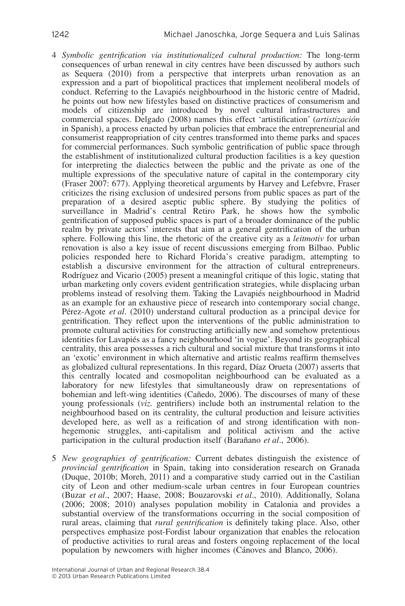- 4 *Symbolic gentrification via institutionalized cultural production:* The long-term consequences of urban renewal in city centres have been discussed by authors such as Sequera (2010) from a perspective that interprets urban renovation as an expression and a part of biopolitical practices that implement neoliberal models of conduct. Referring to the Lavapiés neighbourhood in the historic centre of Madrid, he points out how new lifestyles based on distinctive practices of consumerism and models of citizenship are introduced by novel cultural infrastructures and commercial spaces. Delgado (2008) names this effect 'artistification' (*artistización* in Spanish), a process enacted by urban policies that embrace the entrepreneurial and consumerist reappropriation of city centres transformed into theme parks and spaces for commercial performances. Such symbolic gentrification of public space through the establishment of institutionalized cultural production facilities is a key question for interpreting the dialectics between the public and the private as one of the multiple expressions of the speculative nature of capital in the contemporary city (Fraser 2007: 677). Applying theoretical arguments by Harvey and Lefebvre, Fraser criticizes the rising exclusion of undesired persons from public spaces as part of the preparation of a desired aseptic public sphere. By studying the politics of surveillance in Madrid's central Retiro Park, he shows how the symbolic gentrification of supposed public spaces is part of a broader dominance of the public realm by private actors' interests that aim at a general gentrification of the urban sphere. Following this line, the rhetoric of the creative city as a *leitmotiv* for urban renovation is also a key issue of recent discussions emerging from Bilbao. Public policies responded here to Richard Florida's creative paradigm, attempting to establish a discursive environment for the attraction of cultural entrepreneurs. Rodríguez and Vicario (2005) present a meaningful critique of this logic, stating that urban marketing only covers evident gentrification strategies, while displacing urban problems instead of resolving them. Taking the Lavapiés neighbourhood in Madrid as an example for an exhaustive piece of research into contemporary social change, Pérez-Agote *et al*. (2010) understand cultural production as a principal device for gentrification. They reflect upon the interventions of the public administration to promote cultural activities for constructing artificially new and somehow pretentious identities for Lavapiés as a fancy neighbourhood 'in vogue'. Beyond its geographical centrality, this area possesses a rich cultural and social mixture that transforms it into an 'exotic' environment in which alternative and artistic realms reaffirm themselves as globalized cultural representations. In this regard, Díaz Orueta (2007) asserts that this centrally located and cosmopolitan neighbourhood can be evaluated as a laboratory for new lifestyles that simultaneously draw on representations of bohemian and left-wing identities (Cañedo, 2006). The discourses of many of these young professionals (*viz.* gentrifiers) include both an instrumental relation to the neighbourhood based on its centrality, the cultural production and leisure activities developed here, as well as a reification of and strong identification with nonhegemonic struggles, anti-capitalism and political activism and the active participation in the cultural production itself (Barañano *et al*., 2006).
- 5 *New geographies of gentrification:* Current debates distinguish the existence of *provincial gentrification* in Spain, taking into consideration research on Granada (Duque, 2010b; Moreh, 2011) and a comparative study carried out in the Castilian city of Leon and other medium-scale urban centres in four European countries (Buzar *et al*., 2007; Haase, 2008; Bouzarovski *et al*., 2010). Additionally, Solana (2006; 2008; 2010) analyses population mobility in Catalonia and provides a substantial overview of the transformations occurring in the social composition of rural areas, claiming that *rural gentrification* is definitely taking place. Also, other perspectives emphasize post-Fordist labour organization that enables the relocation of productive activities to rural areas and fosters ongoing replacement of the local population by newcomers with higher incomes (Cánoves and Blanco, 2006).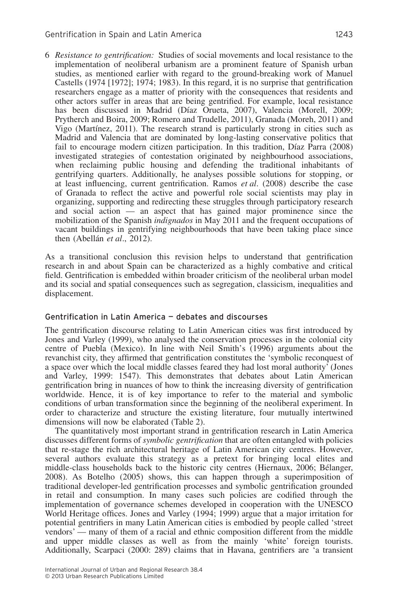#### Gentrification in Spain and Latin America 1243

6 *Resistance to gentrification:* Studies of social movements and local resistance to the implementation of neoliberal urbanism are a prominent feature of Spanish urban studies, as mentioned earlier with regard to the ground-breaking work of Manuel Castells (1974 [1972]; 1974; 1983). In this regard, it is no surprise that gentrification researchers engage as a matter of priority with the consequences that residents and other actors suffer in areas that are being gentrified. For example, local resistance has been discussed in Madrid (Díaz Orueta, 2007), Valencia (Morell, 2009; Prytherch and Boira, 2009; Romero and Trudelle, 2011), Granada (Moreh, 2011) and Vigo (Martínez, 2011). The research strand is particularly strong in cities such as Madrid and Valencia that are dominated by long-lasting conservative politics that fail to encourage modern citizen participation. In this tradition, Díaz Parra (2008) investigated strategies of contestation originated by neighbourhood associations, when reclaiming public housing and defending the traditional inhabitants of gentrifying quarters. Additionally, he analyses possible solutions for stopping, or at least influencing, current gentrification. Ramos *et al*. (2008) describe the case of Granada to reflect the active and powerful role social scientists may play in organizing, supporting and redirecting these struggles through participatory research and social action — an aspect that has gained major prominence since the mobilization of the Spanish *indignados* in May 2011 and the frequent occupations of vacant buildings in gentrifying neighbourhoods that have been taking place since then (Abellán *et al*., 2012).

As a transitional conclusion this revision helps to understand that gentrification research in and about Spain can be characterized as a highly combative and critical field. Gentrification is embedded within broader criticism of the neoliberal urban model and its social and spatial consequences such as segregation, classicism, inequalities and displacement.

#### Gentrification in Latin America — debates and discourses

The gentrification discourse relating to Latin American cities was first introduced by Jones and Varley (1999), who analysed the conservation processes in the colonial city centre of Puebla (Mexico). In line with Neil Smith's (1996) arguments about the revanchist city, they affirmed that gentrification constitutes the 'symbolic reconquest of a space over which the local middle classes feared they had lost moral authority' (Jones and Varley, 1999: 1547). This demonstrates that debates about Latin American gentrification bring in nuances of how to think the increasing diversity of gentrification worldwide. Hence, it is of key importance to refer to the material and symbolic conditions of urban transformation since the beginning of the neoliberal experiment. In order to characterize and structure the existing literature, four mutually intertwined dimensions will now be elaborated (Table 2).

The quantitatively most important strand in gentrification research in Latin America discusses different forms of *symbolic gentrification* that are often entangled with policies that re-stage the rich architectural heritage of Latin American city centres. However, several authors evaluate this strategy as a pretext for bringing local elites and middle-class households back to the historic city centres (Hiernaux, 2006; Bélanger, 2008). As Botelho (2005) shows, this can happen through a superimposition of traditional developer-led gentrification processes and symbolic gentrification grounded in retail and consumption. In many cases such policies are codified through the implementation of governance schemes developed in cooperation with the UNESCO World Heritage offices. Jones and Varley (1994; 1999) argue that a major irritation for potential gentrifiers in many Latin American cities is embodied by people called 'street vendors' — many of them of a racial and ethnic composition different from the middle and upper middle classes as well as from the mainly 'white' foreign tourists. Additionally, Scarpaci (2000: 289) claims that in Havana, gentrifiers are 'a transient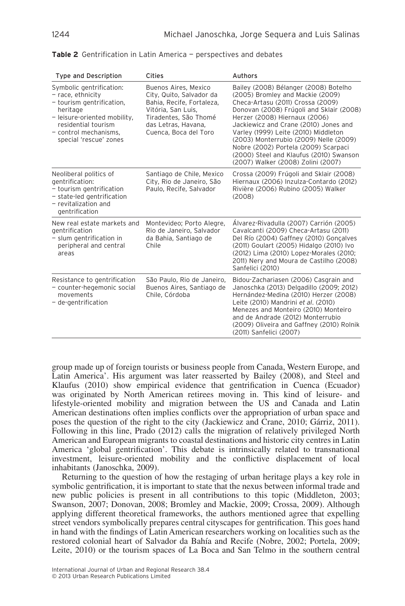| <b>Type and Description</b>                                                                                                                                                                      | Cities                                                                                                                                                                       | Authors                                                                                                                                                                                                                                                                                                                                                                                                                                         |
|--------------------------------------------------------------------------------------------------------------------------------------------------------------------------------------------------|------------------------------------------------------------------------------------------------------------------------------------------------------------------------------|-------------------------------------------------------------------------------------------------------------------------------------------------------------------------------------------------------------------------------------------------------------------------------------------------------------------------------------------------------------------------------------------------------------------------------------------------|
| Symbolic gentrification:<br>- race, ethnicity<br>- tourism gentrification,<br>heritage<br>- leisure-oriented mobility,<br>residential tourism<br>- control mechanisms,<br>special 'rescue' zones | Buenos Aires, Mexico<br>City, Quito, Salvador da<br>Bahia, Recife, Fortaleza,<br>Vitória, San Luis,<br>Tiradentes, São Thomé<br>das Letras, Havana,<br>Cuenca, Boca del Toro | Bailey (2008) Bélanger (2008) Botelho<br>(2005) Bromley and Mackie (2009)<br>Checa-Artasu (2011) Crossa (2009)<br>Donovan (2008) Frúgoli and Sklair (2008)<br>Herzer (2008) Hiernaux (2006)<br>Jackiewicz and Crane (2010) Jones and<br>Varley (1999) Leite (2010) Middleton<br>(2003) Monterrubio (2009) Nelle (2009)<br>Nobre (2002) Portela (2009) Scarpaci<br>(2000) Steel and Klaufus (2010) Swanson<br>(2007) Walker (2008) Zolini (2007) |
| Neoliberal politics of<br>gentrification:<br>- tourism gentrification<br>- state-led gentrification<br>- revitalization and<br>gentrification                                                    | Santiago de Chile, Mexico<br>City, Rio de Janeiro, São<br>Paulo, Recife, Salvador                                                                                            | Crossa (2009) Frúgoli and Sklair (2008)<br>Hiernaux (2006) Inzulza-Contardo (2012)<br>Rivière (2006) Rubino (2005) Walker<br>(2008)                                                                                                                                                                                                                                                                                                             |
| New real estate markets and<br>gentrification<br>$-$ slum gentrification in<br>peripheral and central<br>areas                                                                                   | Montevideo; Porto Alegre,<br>Rio de Janeiro, Salvador<br>da Bahia, Santiago de<br>Chile                                                                                      | Álvarez-Rivadulla (2007) Carrión (2005)<br>Cavalcanti (2009) Checa-Artasu (2011)<br>Del Río (2004) Gaffney (2010) Goncalves<br>(2011) Goulart (2005) Hidalgo (2010) Ivo<br>(2012) Lima (2010) Lopez-Morales (2010;<br>2011) Nery and Moura de Castilho (2008)<br>Sanfelici (2010)                                                                                                                                                               |
| Resistance to gentrification<br>- counter-hegemonic social<br>movements<br>- de-gentrification                                                                                                   | São Paulo, Rio de Janeiro,<br>Buenos Aires, Santiago de<br>Chile, Córdoba                                                                                                    | Bidou-Zachariasen (2006) Casgrain and<br>Janoschka (2013) Delgadillo (2009; 2012)<br>Hernández-Medina (2010) Herzer (2008)<br>Leite (2010) Mandrini et al. (2010)<br>Menezes and Monteiro (2010) Monteiro<br>and de Andrade (2012) Monterrubio<br>(2009) Oliveira and Gaffney (2010) Rolnik<br>(2011) Sanfelici (2007)                                                                                                                          |

**Table 2** Gentrification in Latin America — perspectives and debates

group made up of foreign tourists or business people from Canada, Western Europe, and Latin America'. His argument was later reasserted by Bailey (2008), and Steel and Klaufus (2010) show empirical evidence that gentrification in Cuenca (Ecuador) was originated by North American retirees moving in. This kind of leisure- and lifestyle-oriented mobility and migration between the US and Canada and Latin American destinations often implies conflicts over the appropriation of urban space and poses the question of the right to the city (Jackiewicz and Crane, 2010; Gárriz, 2011). Following in this line, Prado (2012) calls the migration of relatively privileged North American and European migrants to coastal destinations and historic city centres in Latin America 'global gentrification'. This debate is intrinsically related to transnational investment, leisure-oriented mobility and the conflictive displacement of local inhabitants (Janoschka, 2009).

Returning to the question of how the restaging of urban heritage plays a key role in symbolic gentrification, it is important to state that the nexus between informal trade and new public policies is present in all contributions to this topic (Middleton, 2003; Swanson, 2007; Donovan, 2008; Bromley and Mackie, 2009; Crossa, 2009). Although applying different theoretical frameworks, the authors mentioned agree that expelling street vendors symbolically prepares central cityscapes for gentrification. This goes hand in hand with the findings of Latin American researchers working on localities such as the restored colonial heart of Salvador da Bahía and Recife (Nobre, 2002; Portela, 2009; Leite, 2010) or the tourism spaces of La Boca and San Telmo in the southern central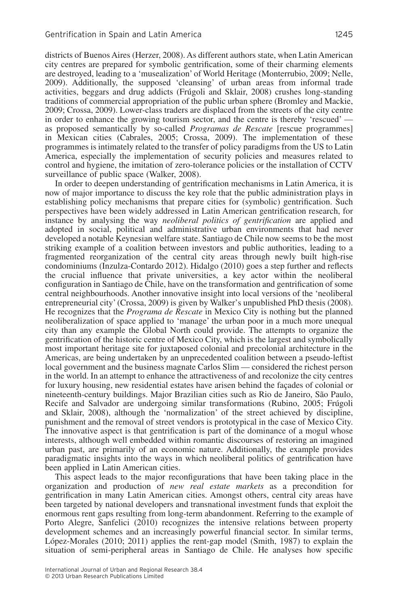districts of Buenos Aires (Herzer, 2008). As different authors state, when Latin American city centres are prepared for symbolic gentrification, some of their charming elements are destroyed, leading to a 'musealization' of World Heritage (Monterrubio, 2009; Nelle, 2009). Additionally, the supposed 'cleansing' of urban areas from informal trade activities, beggars and drug addicts (Frúgoli and Sklair, 2008) crushes long-standing traditions of commercial appropriation of the public urban sphere (Bromley and Mackie, 2009; Crossa, 2009). Lower-class traders are displaced from the streets of the city centre in order to enhance the growing tourism sector, and the centre is thereby 'rescued' as proposed semantically by so-called *Programas de Rescate* [rescue programmes] in Mexican cities (Cabrales, 2005; Crossa, 2009). The implementation of these programmes is intimately related to the transfer of policy paradigms from the US to Latin America, especially the implementation of security policies and measures related to control and hygiene, the imitation of zero-tolerance policies or the installation of CCTV surveillance of public space (Walker, 2008).

In order to deepen understanding of gentrification mechanisms in Latin America, it is now of major importance to discuss the key role that the public administration plays in establishing policy mechanisms that prepare cities for (symbolic) gentrification. Such perspectives have been widely addressed in Latin American gentrification research, for instance by analysing the way *neoliberal politics of gentrification* are applied and adopted in social, political and administrative urban environments that had never developed a notable Keynesian welfare state. Santiago de Chile now seems to be the most striking example of a coalition between investors and public authorities, leading to a fragmented reorganization of the central city areas through newly built high-rise condominiums (Inzulza-Contardo 2012). Hidalgo (2010) goes a step further and reflects the crucial influence that private universities, a key actor within the neoliberal configuration in Santiago de Chile, have on the transformation and gentrification of some central neighbourhoods. Another innovative insight into local versions of the 'neoliberal entrepreneurial city' (Crossa, 2009) is given by Walker's unpublished PhD thesis (2008). He recognizes that the *Programa de Rescate* in Mexico City is nothing but the planned neoliberalization of space applied to 'manage' the urban poor in a much more unequal city than any example the Global North could provide. The attempts to organize the gentrification of the historic centre of Mexico City, which is the largest and symbolically most important heritage site for juxtaposed colonial and precolonial architecture in the Americas, are being undertaken by an unprecedented coalition between a pseudo-leftist local government and the business magnate Carlos Slim — considered the richest person in the world. In an attempt to enhance the attractiveness of and recolonize the city centres for luxury housing, new residential estates have arisen behind the façades of colonial or nineteenth-century buildings. Major Brazilian cities such as Rio de Janeiro, São Paulo, Recife and Salvador are undergoing similar transformations (Rubino, 2005; Frúgoli and Sklair, 2008), although the 'normalization' of the street achieved by discipline, punishment and the removal of street vendors is prototypical in the case of Mexico City. The innovative aspect is that gentrification is part of the dominance of a mogul whose interests, although well embedded within romantic discourses of restoring an imagined urban past, are primarily of an economic nature. Additionally, the example provides paradigmatic insights into the ways in which neoliberal politics of gentrification have been applied in Latin American cities.

This aspect leads to the major reconfigurations that have been taking place in the organization and production of *new real estate markets* as a precondition for gentrification in many Latin American cities. Amongst others, central city areas have been targeted by national developers and transnational investment funds that exploit the enormous rent gaps resulting from long-term abandonment. Referring to the example of Porto Alegre, Sanfelici (2010) recognizes the intensive relations between property development schemes and an increasingly powerful financial sector. In similar terms, López-Morales (2010; 2011) applies the rent-gap model (Smith, 1987) to explain the situation of semi-peripheral areas in Santiago de Chile. He analyses how specific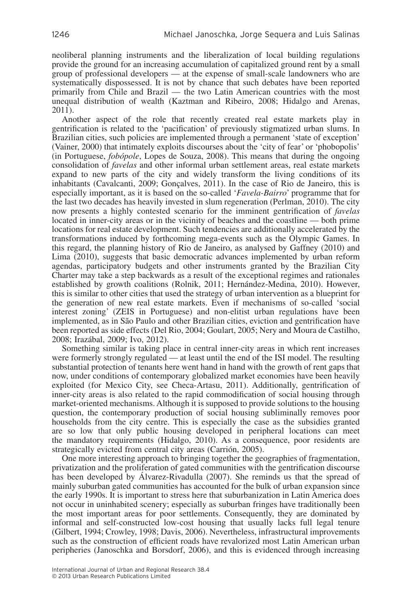neoliberal planning instruments and the liberalization of local building regulations provide the ground for an increasing accumulation of capitalized ground rent by a small group of professional developers — at the expense of small-scale landowners who are systematically dispossessed. It is not by chance that such debates have been reported primarily from Chile and Brazil — the two Latin American countries with the most unequal distribution of wealth (Kaztman and Ribeiro, 2008; Hidalgo and Arenas, 2011).

Another aspect of the role that recently created real estate markets play in gentrification is related to the 'pacification' of previously stigmatized urban slums. In Brazilian cities, such policies are implemented through a permanent 'state of exception' (Vainer, 2000) that intimately exploits discourses about the 'city of fear' or 'phobopolis' (in Portuguese, *fobópole*, Lopes de Souza, 2008). This means that during the ongoing consolidation of *favelas* and other informal urban settlement areas, real estate markets expand to new parts of the city and widely transform the living conditions of its inhabitants (Cavalcanti, 2009; Gonçalves, 2011). In the case of Rio de Janeiro, this is especially important, as it is based on the so-called '*Favela-Bairro*' programme that for the last two decades has heavily invested in slum regeneration (Perlman, 2010). The city now presents a highly contested scenario for the imminent gentrification of *favelas* located in inner-city areas or in the vicinity of beaches and the coastline — both prime locations for real estate development. Such tendencies are additionally accelerated by the transformations induced by forthcoming mega-events such as the Olympic Games. In this regard, the planning history of Rio de Janeiro, as analysed by Gaffney (2010) and Lima (2010), suggests that basic democratic advances implemented by urban reform agendas, participatory budgets and other instruments granted by the Brazilian City Charter may take a step backwards as a result of the exceptional regimes and rationales established by growth coalitions (Rolnik, 2011; Hernández-Medina, 2010). However, this is similar to other cities that used the strategy of urban intervention as a blueprint for the generation of new real estate markets. Even if mechanisms of so-called 'social interest zoning' (ZEIS in Portuguese) and non-elitist urban regulations have been implemented, as in São Paulo and other Brazilian cities, eviction and gentrification have been reported as side effects (Del Rio, 2004; Goulart, 2005; Nery and Moura de Castilho, 2008; Irazábal, 2009; Ivo, 2012).

Something similar is taking place in central inner-city areas in which rent increases were formerly strongly regulated — at least until the end of the ISI model. The resulting substantial protection of tenants here went hand in hand with the growth of rent gaps that now, under conditions of contemporary globalized market economies have been heavily exploited (for Mexico City, see Checa-Artasu, 2011). Additionally, gentrification of inner-city areas is also related to the rapid commodification of social housing through market-oriented mechanisms. Although it is supposed to provide solutions to the housing question, the contemporary production of social housing subliminally removes poor households from the city centre. This is especially the case as the subsidies granted are so low that only public housing developed in peripheral locations can meet the mandatory requirements (Hidalgo, 2010). As a consequence, poor residents are strategically evicted from central city areas (Carrión, 2005).

One more interesting approach to bringing together the geographies of fragmentation, privatization and the proliferation of gated communities with the gentrification discourse has been developed by Álvarez-Rivadulla (2007). She reminds us that the spread of mainly suburban gated communities has accounted for the bulk of urban expansion since the early 1990s. It is important to stress here that suburbanization in Latin America does not occur in uninhabited scenery; especially as suburban fringes have traditionally been the most important areas for poor settlements. Consequently, they are dominated by informal and self-constructed low-cost housing that usually lacks full legal tenure (Gilbert, 1994; Crowley, 1998; Davis, 2006). Nevertheless, infrastructural improvements such as the construction of efficient roads have revalorized most Latin American urban peripheries (Janoschka and Borsdorf, 2006), and this is evidenced through increasing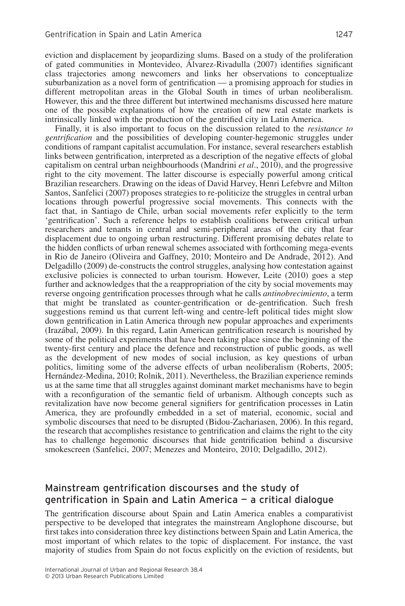eviction and displacement by jeopardizing slums. Based on a study of the proliferation of gated communities in Montevideo, Álvarez-Rivadulla (2007) identifies significant class trajectories among newcomers and links her observations to conceptualize suburbanization as a novel form of gentrification — a promising approach for studies in different metropolitan areas in the Global South in times of urban neoliberalism. However, this and the three different but intertwined mechanisms discussed here mature one of the possible explanations of how the creation of new real estate markets is intrinsically linked with the production of the gentrified city in Latin America.

Finally, it is also important to focus on the discussion related to the *resistance to gentrification* and the possibilities of developing counter-hegemonic struggles under conditions of rampant capitalist accumulation. For instance, several researchers establish links between gentrification, interpreted as a description of the negative effects of global capitalism on central urban neighbourhoods (Mandrini *et al*., 2010), and the progressive right to the city movement. The latter discourse is especially powerful among critical Brazilian researchers. Drawing on the ideas of David Harvey, Henri Lefebvre and Milton Santos, Sanfelici (2007) proposes strategies to re-politicize the struggles in central urban locations through powerful progressive social movements. This connects with the fact that, in Santiago de Chile, urban social movements refer explicitly to the term 'gentrification'. Such a reference helps to establish coalitions between critical urban researchers and tenants in central and semi-peripheral areas of the city that fear displacement due to ongoing urban restructuring. Different promising debates relate to the hidden conflicts of urban renewal schemes associated with forthcoming mega-events in Rio de Janeiro (Oliveira and Gaffney, 2010; Monteiro and De Andrade, 2012). And Delgadillo (2009) de-constructs the control struggles, analysing how contestation against exclusive policies is connected to urban tourism. However, Leite (2010) goes a step further and acknowledges that the a reappropriation of the city by social movements may reverse ongoing gentrification processes through what he calls *antinobrecimiento*, a term that might be translated as counter-gentrification or de-gentrification. Such fresh suggestions remind us that current left-wing and centre-left political tides might slow down gentrification in Latin America through new popular approaches and experiments (Irazábal, 2009). In this regard, Latin American gentrification research is nourished by some of the political experiments that have been taking place since the beginning of the twenty-first century and place the defence and reconstruction of public goods, as well as the development of new modes of social inclusion, as key questions of urban politics, limiting some of the adverse effects of urban neoliberalism (Roberts, 2005; Hernández-Medina, 2010; Rolnik, 2011). Nevertheless, the Brazilian experience reminds us at the same time that all struggles against dominant market mechanisms have to begin with a reconfiguration of the semantic field of urbanism. Although concepts such as revitalization have now become general signifiers for gentrification processes in Latin America, they are profoundly embedded in a set of material, economic, social and symbolic discourses that need to be disrupted (Bidou-Zachariasen, 2006). In this regard, the research that accomplishes resistance to gentrification and claims the right to the city has to challenge hegemonic discourses that hide gentrification behind a discursive smokescreen (Sanfelici, 2007; Menezes and Monteiro, 2010; Delgadillo, 2012).

## Mainstream gentrification discourses and the study of gentrification in Spain and Latin America — a critical dialogue

The gentrification discourse about Spain and Latin America enables a comparativist perspective to be developed that integrates the mainstream Anglophone discourse, but first takes into consideration three key distinctions between Spain and Latin America, the most important of which relates to the topic of displacement. For instance, the vast majority of studies from Spain do not focus explicitly on the eviction of residents, but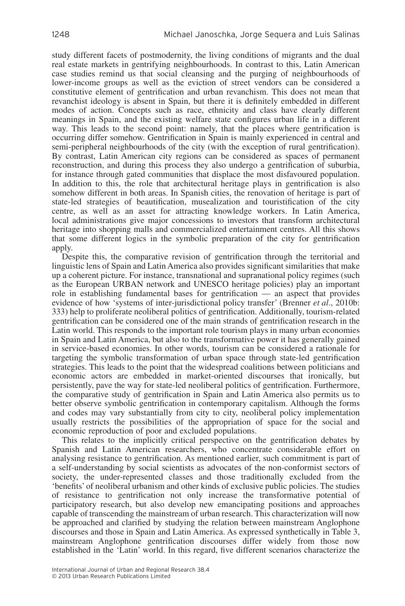study different facets of postmodernity, the living conditions of migrants and the dual real estate markets in gentrifying neighbourhoods. In contrast to this, Latin American case studies remind us that social cleansing and the purging of neighbourhoods of lower-income groups as well as the eviction of street vendors can be considered a constitutive element of gentrification and urban revanchism. This does not mean that revanchist ideology is absent in Spain, but there it is definitely embedded in different modes of action. Concepts such as race, ethnicity and class have clearly different meanings in Spain, and the existing welfare state configures urban life in a different way. This leads to the second point: namely, that the places where gentrification is occurring differ somehow. Gentrification in Spain is mainly experienced in central and semi-peripheral neighbourhoods of the city (with the exception of rural gentrification). By contrast, Latin American city regions can be considered as spaces of permanent reconstruction, and during this process they also undergo a gentrification of suburbia, for instance through gated communities that displace the most disfavoured population. In addition to this, the role that architectural heritage plays in gentrification is also somehow different in both areas. In Spanish cities, the renovation of heritage is part of state-led strategies of beautification, musealization and touristification of the city centre, as well as an asset for attracting knowledge workers. In Latin America, local administrations give major concessions to investors that transform architectural heritage into shopping malls and commercialized entertainment centres. All this shows that some different logics in the symbolic preparation of the city for gentrification apply.

Despite this, the comparative revision of gentrification through the territorial and linguistic lens of Spain and Latin America also provides significant similarities that make up a coherent picture. For instance, transnational and supranational policy regimes (such as the European URBAN network and UNESCO heritage policies) play an important role in establishing fundamental bases for gentrification — an aspect that provides evidence of how 'systems of inter-jurisdictional policy transfer' (Brenner *et al*., 2010b: 333) help to proliferate neoliberal politics of gentrification. Additionally, tourism-related gentrification can be considered one of the main strands of gentrification research in the Latin world. This responds to the important role tourism plays in many urban economies in Spain and Latin America, but also to the transformative power it has generally gained in service-based economies. In other words, tourism can be considered a rationale for targeting the symbolic transformation of urban space through state-led gentrification strategies. This leads to the point that the widespread coalitions between politicians and economic actors are embedded in market-oriented discourses that ironically, but persistently, pave the way for state-led neoliberal politics of gentrification. Furthermore, the comparative study of gentrification in Spain and Latin America also permits us to better observe symbolic gentrification in contemporary capitalism. Although the forms and codes may vary substantially from city to city, neoliberal policy implementation usually restricts the possibilities of the appropriation of space for the social and economic reproduction of poor and excluded populations.

This relates to the implicitly critical perspective on the gentrification debates by Spanish and Latin American researchers, who concentrate considerable effort on analysing resistance to gentrification. As mentioned earlier, such commitment is part of a self-understanding by social scientists as advocates of the non-conformist sectors of society, the under-represented classes and those traditionally excluded from the 'benefits' of neoliberal urbanism and other kinds of exclusive public policies. The studies of resistance to gentrification not only increase the transformative potential of participatory research, but also develop new emancipating positions and approaches capable of transcending the mainstream of urban research. This characterization will now be approached and clarified by studying the relation between mainstream Anglophone discourses and those in Spain and Latin America. As expressed synthetically in Table 3, mainstream Anglophone gentrification discourses differ widely from those now established in the 'Latin' world. In this regard, five different scenarios characterize the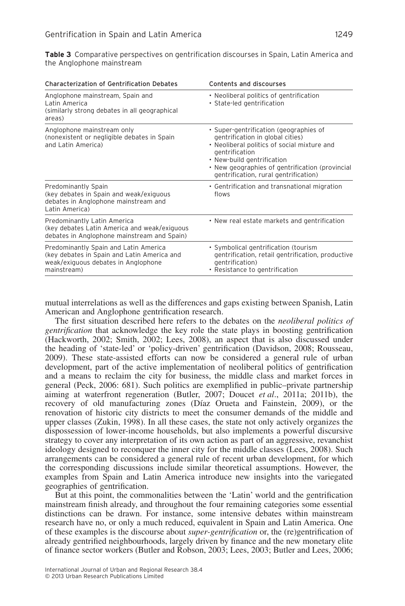**Table 3** Comparative perspectives on gentrification discourses in Spain, Latin America and the Anglophone mainstream

| <b>Characterization of Gentrification Debates</b>                                                                                          | Contents and discourses                                                                                                                                                                                                                                               |
|--------------------------------------------------------------------------------------------------------------------------------------------|-----------------------------------------------------------------------------------------------------------------------------------------------------------------------------------------------------------------------------------------------------------------------|
| Anglophone mainstream, Spain and<br>Latin America<br>(similarly strong debates in all geographical<br>areas)                               | • Neoliberal politics of gentrification<br>• State-led gentrification                                                                                                                                                                                                 |
| Anglophone mainstream only<br>(nonexistent or negligible debates in Spain<br>and Latin America)                                            | • Super-gentrification (geographies of<br>gentrification in global cities)<br>• Neoliberal politics of social mixture and<br>gentrification<br>• New-build gentrification<br>• New geographies of gentrification (provincial<br>gentrification, rural gentrification) |
| Predominantly Spain<br>(key debates in Spain and weak/exiguous<br>debates in Anglophone mainstream and<br>Latin America)                   | • Gentrification and transnational migration<br>flows                                                                                                                                                                                                                 |
| Predominantly Latin America<br>(key debates Latin America and weak/exiguous<br>debates in Anglophone mainstream and Spain)                 | • New real estate markets and gentrification                                                                                                                                                                                                                          |
| Predominantly Spain and Latin America<br>(key debates in Spain and Latin America and<br>weak/exiguous debates in Anglophone<br>mainstream) | • Symbolical gentrification (tourism<br>gentrification, retail gentrification, productive<br>gentrification)<br>• Resistance to gentrification                                                                                                                        |

mutual interrelations as well as the differences and gaps existing between Spanish, Latin American and Anglophone gentrification research.

The first situation described here refers to the debates on the *neoliberal politics of gentrification* that acknowledge the key role the state plays in boosting gentrification (Hackworth, 2002; Smith, 2002; Lees, 2008), an aspect that is also discussed under the heading of 'state-led' or 'policy-driven' gentrification (Davidson, 2008; Rousseau, 2009). These state-assisted efforts can now be considered a general rule of urban development, part of the active implementation of neoliberal politics of gentrification and a means to reclaim the city for business, the middle class and market forces in general (Peck, 2006: 681). Such politics are exemplified in public–private partnership aiming at waterfront regeneration (Butler, 2007; Doucet *et al*., 2011a; 2011b), the recovery of old manufacturing zones (Díaz Orueta and Fainstein, 2009), or the renovation of historic city districts to meet the consumer demands of the middle and upper classes (Zukin, 1998). In all these cases, the state not only actively organizes the dispossession of lower-income households, but also implements a powerful discursive strategy to cover any interpretation of its own action as part of an aggressive, revanchist ideology designed to reconquer the inner city for the middle classes (Lees, 2008). Such arrangements can be considered a general rule of recent urban development, for which the corresponding discussions include similar theoretical assumptions. However, the examples from Spain and Latin America introduce new insights into the variegated geographies of gentrification.

But at this point, the commonalities between the 'Latin' world and the gentrification mainstream finish already, and throughout the four remaining categories some essential distinctions can be drawn. For instance, some intensive debates within mainstream research have no, or only a much reduced, equivalent in Spain and Latin America. One of these examples is the discourse about *super-gentrification* or, the (re)gentrification of already gentrified neighbourhoods, largely driven by finance and the new monetary elite of finance sector workers (Butler and Robson, 2003; Lees, 2003; Butler and Lees, 2006;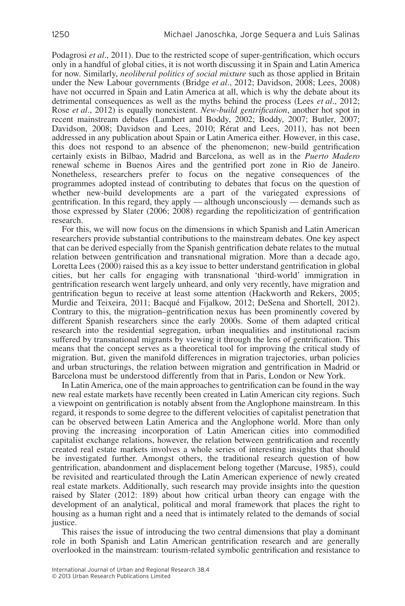Podagrosi *et al*., 2011). Due to the restricted scope of super-gentrification, which occurs only in a handful of global cities, it is not worth discussing it in Spain and Latin America for now. Similarly, *neoliberal politics of social mixture* such as those applied in Britain under the New Labour governments (Bridge *et al*., 2012; Davidson, 2008; Lees, 2008) have not occurred in Spain and Latin America at all, which is why the debate about its detrimental consequences as well as the myths behind the process (Lees *et al*., 2012; Rose *et al*., 2012) is equally nonexistent. *New-build gentrification*, another hot spot in recent mainstream debates (Lambert and Boddy, 2002; Boddy, 2007; Butler, 2007; Davidson, 2008; Davidson and Lees, 2010; Rérat and Lees, 2011), has not been addressed in any publication about Spain or Latin America either. However, in this case, this does not respond to an absence of the phenomenon; new-build gentrification certainly exists in Bilbao, Madrid and Barcelona, as well as in the *Puerto Madero* renewal scheme in Buenos Aires and the gentrified port zone in Rio de Janeiro. Nonetheless, researchers prefer to focus on the negative consequences of the programmes adopted instead of contributing to debates that focus on the question of whether new-build developments are a part of the variegated expressions of gentrification. In this regard, they apply — although unconsciously — demands such as those expressed by Slater (2006; 2008) regarding the repoliticization of gentrification research.

For this, we will now focus on the dimensions in which Spanish and Latin American researchers provide substantial contributions to the mainstream debates. One key aspect that can be derived especially from the Spanish gentrification debate relates to the mutual relation between gentrification and transnational migration. More than a decade ago, Loretta Lees (2000) raised this as a key issue to better understand gentrification in global cities, but her calls for engaging with transnational 'third-world' immigration in gentrification research went largely unheard, and only very recently, have migration and gentrification begun to receive at least some attention (Hackworth and Rekers, 2005; Murdie and Teixeira, 2011; Bacqué and Fijalkow, 2012; DeSena and Shortell, 2012). Contrary to this, the migration–gentrification nexus has been prominently covered by different Spanish researchers since the early 2000s. Some of them adapted critical research into the residential segregation, urban inequalities and institutional racism suffered by transnational migrants by viewing it through the lens of gentrification. This means that the concept serves as a theoretical tool for improving the critical study of migration. But, given the manifold differences in migration trajectories, urban policies and urban structurings, the relation between migration and gentrification in Madrid or Barcelona must be understood differently from that in Paris, London or New York.

In Latin America, one of the main approaches to gentrification can be found in the way new real estate markets have recently been created in Latin American city regions. Such a viewpoint on gentrification is notably absent from the Anglophone mainstream. In this regard, it responds to some degree to the different velocities of capitalist penetration that can be observed between Latin America and the Anglophone world. More than only proving the increasing incorporation of Latin American cities into commodified capitalist exchange relations, however, the relation between gentrification and recently created real estate markets involves a whole series of interesting insights that should be investigated further. Amongst others, the traditional research question of how gentrification, abandonment and displacement belong together (Marcuse, 1985), could be revisited and rearticulated through the Latin American experience of newly created real estate markets. Additionally, such research may provide insights into the question raised by Slater (2012: 189) about how critical urban theory can engage with the development of an analytical, political and moral framework that places the right to housing as a human right and a need that is intimately related to the demands of social justice.

This raises the issue of introducing the two central dimensions that play a dominant role in both Spanish and Latin American gentrification research and are generally overlooked in the mainstream: tourism-related symbolic gentrification and resistance to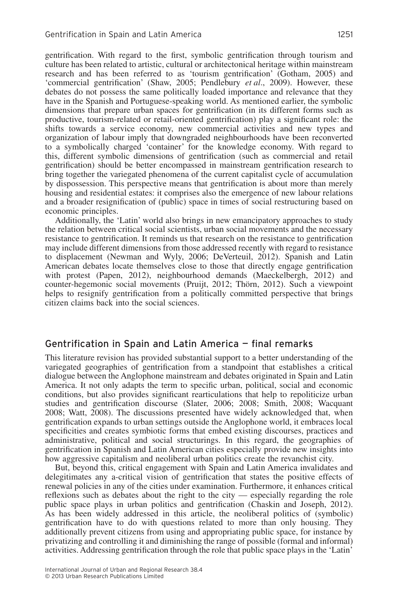gentrification. With regard to the first, symbolic gentrification through tourism and culture has been related to artistic, cultural or architectonical heritage within mainstream research and has been referred to as 'tourism gentrification' (Gotham, 2005) and 'commercial gentrification' (Shaw, 2005; Pendlebury *et al*., 2009). However, these debates do not possess the same politically loaded importance and relevance that they have in the Spanish and Portuguese-speaking world. As mentioned earlier, the symbolic dimensions that prepare urban spaces for gentrification (in its different forms such as productive, tourism-related or retail-oriented gentrification) play a significant role: the shifts towards a service economy, new commercial activities and new types and organization of labour imply that downgraded neighbourhoods have been reconverted to a symbolically charged 'container' for the knowledge economy. With regard to this, different symbolic dimensions of gentrification (such as commercial and retail gentrification) should be better encompassed in mainstream gentrification research to bring together the variegated phenomena of the current capitalist cycle of accumulation by dispossession. This perspective means that gentrification is about more than merely housing and residential estates: it comprises also the emergence of new labour relations and a broader resignification of (public) space in times of social restructuring based on economic principles.

Additionally, the 'Latin' world also brings in new emancipatory approaches to study the relation between critical social scientists, urban social movements and the necessary resistance to gentrification. It reminds us that research on the resistance to gentrification may include different dimensions from those addressed recently with regard to resistance to displacement (Newman and Wyly, 2006; DeVerteuil, 2012). Spanish and Latin American debates locate themselves close to those that directly engage gentrification with protest (Papen, 2012), neighbourhood demands (Maeckelbergh, 2012) and counter-hegemonic social movements (Pruijt, 2012; Thörn, 2012). Such a viewpoint helps to resignify gentrification from a politically committed perspective that brings citizen claims back into the social sciences.

## Gentrification in Spain and Latin America — final remarks

This literature revision has provided substantial support to a better understanding of the variegated geographies of gentrification from a standpoint that establishes a critical dialogue between the Anglophone mainstream and debates originated in Spain and Latin America. It not only adapts the term to specific urban, political, social and economic conditions, but also provides significant rearticulations that help to repoliticize urban studies and gentrification discourse (Slater, 2006; 2008; Smith, 2008; Wacquant 2008; Watt, 2008). The discussions presented have widely acknowledged that, when gentrification expands to urban settings outside the Anglophone world, it embraces local specificities and creates symbiotic forms that embed existing discourses, practices and administrative, political and social structurings. In this regard, the geographies of gentrification in Spanish and Latin American cities especially provide new insights into how aggressive capitalism and neoliberal urban politics create the revanchist city.

But, beyond this, critical engagement with Spain and Latin America invalidates and delegitimates any a-critical vision of gentrification that states the positive effects of renewal policies in any of the cities under examination. Furthermore, it enhances critical reflexions such as debates about the right to the city — especially regarding the role public space plays in urban politics and gentrification (Chaskin and Joseph, 2012). As has been widely addressed in this article, the neoliberal politics of (symbolic) gentrification have to do with questions related to more than only housing. They additionally prevent citizens from using and appropriating public space, for instance by privatizing and controlling it and diminishing the range of possible (formal and informal) activities. Addressing gentrification through the role that public space plays in the 'Latin'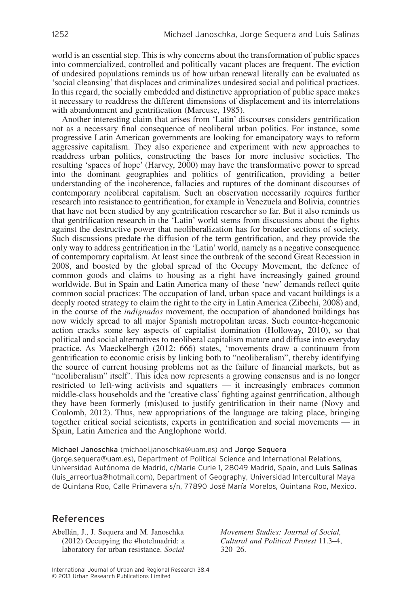world is an essential step. This is why concerns about the transformation of public spaces into commercialized, controlled and politically vacant places are frequent. The eviction of undesired populations reminds us of how urban renewal literally can be evaluated as 'social cleansing' that displaces and criminalizes undesired social and political practices. In this regard, the socially embedded and distinctive appropriation of public space makes it necessary to readdress the different dimensions of displacement and its interrelations with abandonment and gentrification (Marcuse, 1985).

Another interesting claim that arises from 'Latin' discourses considers gentrification not as a necessary final consequence of neoliberal urban politics. For instance, some progressive Latin American governments are looking for emancipatory ways to reform aggressive capitalism. They also experience and experiment with new approaches to readdress urban politics, constructing the bases for more inclusive societies. The resulting 'spaces of hope' (Harvey, 2000) may have the transformative power to spread into the dominant geographies and politics of gentrification, providing a better understanding of the incoherence, fallacies and ruptures of the dominant discourses of contemporary neoliberal capitalism. Such an observation necessarily requires further research into resistance to gentrification, for example in Venezuela and Bolivia, countries that have not been studied by any gentrification researcher so far. But it also reminds us that gentrification research in the 'Latin' world stems from discussions about the fights against the destructive power that neoliberalization has for broader sections of society. Such discussions predate the diffusion of the term gentrification, and they provide the only way to address gentrification in the 'Latin' world, namely as a negative consequence of contemporary capitalism. At least since the outbreak of the second Great Recession in 2008, and boosted by the global spread of the Occupy Movement, the defence of common goods and claims to housing as a right have increasingly gained ground worldwide. But in Spain and Latin America many of these 'new' demands reflect quite common social practices: The occupation of land, urban space and vacant buildings is a deeply rooted strategy to claim the right to the city in Latin America (Zibechi, 2008) and, in the course of the *indignados* movement, the occupation of abandoned buildings has now widely spread to all major Spanish metropolitan areas. Such counter-hegemonic action cracks some key aspects of capitalist domination (Holloway, 2010), so that political and social alternatives to neoliberal capitalism mature and diffuse into everyday practice. As Maeckelbergh (2012: 666) states, 'movements draw a continuum from gentrification to economic crisis by linking both to "neoliberalism", thereby identifying the source of current housing problems not as the failure of financial markets, but as "neoliberalism" itself'. This idea now represents a growing consensus and is no longer restricted to left-wing activists and squatters — it increasingly embraces common middle-class households and the 'creative class' fighting against gentrification, although they have been formerly (mis)used to justify gentrification in their name (Novy and Coulomb, 2012). Thus, new appropriations of the language are taking place, bringing together critical social scientists, experts in gentrification and social movements — in Spain, Latin America and the Anglophone world.

Michael Janoschka (michael.janoschka@uam.es) and Jorge Sequera (jorge.sequera@uam.es), Department of Political Science and International Relations, Universidad Autónoma de Madrid, c/Marie Curie 1, 28049 Madrid, Spain, and Luis Salinas (luis\_arreortua@hotmail.com), Department of Geography, Universidad Intercultural Maya de Quintana Roo, Calle Primavera s/n, 77890 José María Morelos, Quintana Roo, Mexico.

### References

Abellán, J., J. Sequera and M. Janoschka (2012) Occupying the #hotelmadrid: a laboratory for urban resistance. *Social*

*Movement Studies: Journal of Social, Cultural and Political Protest* 11.3–4, 320–26.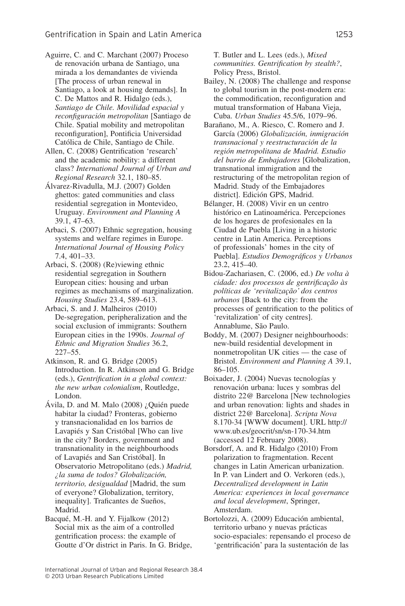- Aguirre, C. and C. Marchant (2007) Proceso de renovación urbana de Santiago, una mirada a los demandantes de vivienda [The process of urban renewal in Santiago, a look at housing demands]. In C. De Mattos and R. Hidalgo (eds.), *Santiago de Chile. Movilidad espacial y reconfiguración metropolitan* [Santiago de Chile. Spatial mobility and metropolitan reconfiguration], Pontificia Universidad Católica de Chile, Santiago de Chile.
- Allen, C. (2008) Gentrification 'research' and the academic nobility: a different class? *International Journal of Urban and Regional Research* 32.1, 180–85.
- Álvarez-Rivadulla, M.J. (2007) Golden ghettos: gated communities and class residential segregation in Montevideo, Uruguay. *Environment and Planning A* 39.1, 47–63.
- Arbaci, S. (2007) Ethnic segregation, housing systems and welfare regimes in Europe. *International Journal of Housing Policy* 7.4, 401–33.
- Arbaci, S. (2008) (Re)viewing ethnic residential segregation in Southern European cities: housing and urban regimes as mechanisms of marginalization. *Housing Studies* 23.4, 589–613.
- Arbaci, S. and J. Malheiros (2010) De-segregation, peripheralization and the social exclusion of immigrants: Southern European cities in the 1990s. *Journal of Ethnic and Migration Studies* 36.2, 227–55.
- Atkinson, R. and G. Bridge (2005) Introduction. In R. Atkinson and G. Bridge (eds.), *Gentrification in a global context: the new urban colonialism*, Routledge, London.
- Ávila, D. and M. Malo (2008) ¿Quién puede habitar la ciudad? Fronteras, gobierno y transnacionalidad en los barrios de Lavapiés y San Cristóbal [Who can live in the city? Borders, government and transnationality in the neighbourhoods of Lavapiés and San Cristóbal]. In Observatorio Metropolitano (eds.) *Madrid, ¿la suma de todos? Globalización, territorio, desigualdad* [Madrid, the sum of everyone? Globalization, territory, inequality]. Traficantes de Sueños, Madrid.
- Bacqué, M.-H. and Y. Fijalkow (2012) Social mix as the aim of a controlled gentrification process: the example of Goutte d'Or district in Paris. In G. Bridge,

T. Butler and L. Lees (eds.), *Mixed communities. Gentrification by stealth?*, Policy Press, Bristol.

- Bailey, N. (2008) The challenge and response to global tourism in the post-modern era: the commodification, reconfiguration and mutual transformation of Habana Vieja, Cuba. *Urban Studies* 45.5/6, 1079–96.
- Barañano, M., A. Riesco, C. Romero and J. García (2006) *Globalización, inmigración transnacional y reestructuración de la región metropolitana de Madrid. Estudio del barrio de Embajadores* [Globalization, transnational immigration and the restructuring of the metropolitan region of Madrid. Study of the Embajadores district]. Edición GPS, Madrid.
- Bélanger, H. (2008) Vivir en un centro histórico en Latinoamérica. Percepciones de los hogares de profesionales en la Ciudad de Puebla [Living in a historic centre in Latin America. Perceptions of professionals' homes in the city of Puebla]. *Estudios Demográficos y Urbanos* 23.2, 415–40.
- Bidou-Zachariasen, C. (2006, ed.) *De volta à cidade: dos processos de gentrificação às políticas de 'revitalização' dos centros urbanos* [Back to the city: from the processes of gentrification to the politics of 'revitalization' of city centres]. Annablume, São Paulo.
- Boddy, M. (2007) Designer neighbourhoods: new-build residential development in nonmetropolitan UK cities — the case of Bristol. *Environment and Planning A* 39.1, 86–105.
- Boixader, J. (2004) Nuevas tecnologías y renovación urbana: luces y sombras del distrito 22@ Barcelona [New technologies and urban renovation: lights and shades in district 22@ Barcelona]. *Scripta Nova* 8.170-34 [WWW document]. URL http:// www.ub.es/geocrit/sn/sn-170-34.htm (accessed 12 February 2008).
- Borsdorf, A. and R. Hidalgo (2010) From polarization to fragmentation. Recent changes in Latin American urbanization. In P. van Lindert and O. Verkoren (eds.), *Decentralized development in Latin America: experiences in local governance and local development*, Springer, Amsterdam.
- Bortolozzi, A. (2009) Educación ambiental, territorio urbano y nuevas prácticas socio-espaciales: repensando el proceso de 'gentrificación' para la sustentación de las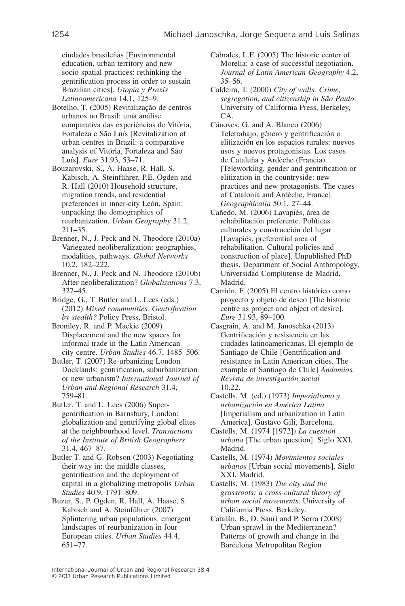ciudades brasileñas [Environmental education, urban territory and new socio-spatial practices: rethinking the gentrification process in order to sustain Brazilian cities]. *Utopía y Praxis Latinoamericana* 14.1, 125–9.

- Botelho, T. (2005) Revitalização de centros urbanos no Brasil: uma análise comparativa das experiências de Vitória, Fortaleza e São Luís [Revitalization of urban centres in Brazil: a comparative analysis of Vitória, Fortaleza and São Luís]. *Eure* 31.93, 53–71.
- Bouzarovski, S., A. Haase, R. Hall, S. Kabisch, A. Steinführer, P.E. Ogden and R. Hall (2010) Household structure, migration trends, and residential preferences in inner-city León, Spain: unpacking the demographics of reurbanization. *Urban Geography* 31.2, 211–35.
- Brenner, N., J. Peck and N. Theodore (2010a) Variegated neoliberalization: geographies, modalities, pathways. *Global Networks* 10.2, 182–222.
- Brenner, N., J. Peck and N. Theodore (2010b) After neoliberalization? *Globalizations* 7.3, 327–45.
- Bridge, G., T. Butler and L. Lees (eds.) (2012) *Mixed communities. Gentrification by stealth?* Policy Press, Bristol.
- Bromley, R. and P. Mackie (2009) Displacement and the new spaces for informal trade in the Latin American city centre. *Urban Studies* 46.7, 1485–506.
- Butler, T. (2007) Re-urbanizing London Docklands: gentrification, suburbanization or new urbanism? *International Journal of Urban and Regional Research* 31.4, 759–81.
- Butler, T. and L. Lees (2006) Supergentrification in Barnsbury, London: globalization and gentrifying global elites at the neighbourhood level. *Transactions of the Institute of British Geographers* 31.4, 467–87.

Butler T. and G. Robson (2003) Negotiating their way in: the middle classes, gentrification and the deployment of capital in a globalizing metropolis *Urban Studies* 40.9, 1791–809.

Buzar, S., P. Ogden, R. Hall, A. Haase, S. Kabisch and A. Steinführer (2007) Splintering urban populations: emergent landscapes of reurbanization in four European cities. *Urban Studies* 44.4, 651–77.

- Cabrales, L.F. (2005) The historic center of Morelia: a case of successful negotiation. *Journal of Latin American Geography* 4.2, 35–56.
- Caldeira, T. (2000) *City of walls. Crime, segregation, and citizenship in São Paulo*. University of California Press, Berkeley, CA.
- Cánoves, G. and A. Blanco (2006) Teletrabajo, género y gentrificación o elitización en los espacios rurales: nuevos usos y nuevos protagonistas. Los casos de Cataluña y Ardèche (Francia). [Teleworking, gender and gentrification or elitization in the countryside: new practices and new protagonists. The cases of Catalonia and Ardèche, France]. *Geographicalia* 50.1, 27–44.
- Cañedo, M. (2006) Lavapiés, área de rehabilitación preferente. Políticas culturales y construcción del lugar [Lavapiés, preferential area of rehabilitation. Cultural policies and construction of place]. Unpublished PhD thesis, Department of Social Anthropology, Universidad Complutense de Madrid, Madrid.
- Carrión, F. (2005) El centro histórico como proyecto y objeto de deseo [The historic centre as project and object of desire]. *Eure* 31.93, 89–100.
- Casgrain, A. and M. Janoschka (2013) Gentrificación y resistencia en las ciudades latinoamericanas. El ejemplo de Santiago de Chile [Gentrification and resistance in Latin American cities. The example of Santiago de Chile] *Andamios. Revista de investigación social* 10.22.
- Castells, M. (ed.) (1973) *Imperialismo y urbanización en América Latina* [Imperialism and urbanization in Latin America]. Gustavo Gili, Barcelona.
- Castells, M. (1974 [1972]) *La cuestión urbana* [The urban question]. Siglo XXI, Madrid.
- Castells, M. (1974) *Movimientos sociales urbanos* [Urban social movements]. Siglo XXI, Madrid.
- Castells, M. (1983) *The city and the grassroots: a cross-cultural theory of urban social movements*. University of California Press, Berkeley.
- Catalán, B., D. Saurí and P. Serra (2008) Urban sprawl in the Mediterranean? Patterns of growth and change in the Barcelona Metropolitan Region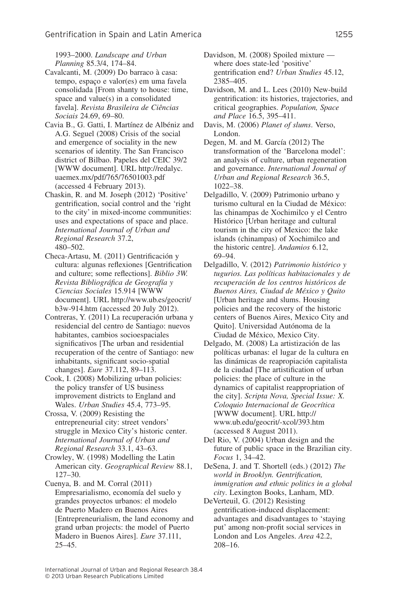1993–2000. *Landscape and Urban Planning* 85.3/4, 174–84.

- Cavalcanti, M. (2009) Do barraco à casa: tempo, espaço e valor(es) em uma favela consolidada [From shanty to house: time, space and value(s) in a consolidated favela]. *Revista Brasileira de Ciências Sociais* 24.69, 69–80.
- Cavia B., G. Gatti, I. Martínez de Albéniz and A.G. Seguel (2008) Crisis of the social and emergence of sociality in the new scenarios of identity. The San Francisco district of Bilbao. Papeles del CEIC 39/2 [WWW document]. URL http://redalyc. uaemex.mx/pdf/765/76501003.pdf (accessed 4 February 2013).
- Chaskin, R. and M. Joseph (2012) 'Positive' gentrification, social control and the 'right to the city' in mixed-income communities: uses and expectations of space and place. *International Journal of Urban and Regional Research* 37.2, 480–502.
- Checa-Artasu, M. (2011) Gentrificación y cultura: algunas reflexiones [Gentrification and culture; some reflections]. *Biblio 3W. Revista Bibliográfica de Geografía y Ciencias Sociales* 15.914 [WWW document]. URL http://www.ub.es/geocrit/ b3w-914.htm (accessed 20 July 2012).
- Contreras, Y. (2011) La recuperación urbana y residencial del centro de Santiago: nuevos habitantes, cambios socioespaciales significativos [The urban and residential recuperation of the centre of Santiago: new inhabitants, significant socio-spatial changes]. *Eure* 37.112, 89–113.
- Cook, I. (2008) Mobilizing urban policies: the policy transfer of US business improvement districts to England and Wales. *Urban Studies* 45.4, 773–95.
- Crossa, V. (2009) Resisting the entrepreneurial city: street vendors' struggle in Mexico City's historic center. *International Journal of Urban and Regional Research* 33.1, 43–63.
- Crowley, W. (1998) Modelling the Latin American city. *Geographical Review* 88.1, 127–30.
- Cuenya, B. and M. Corral (2011) Empresarialismo, economía del suelo y grandes proyectos urbanos: el modelo de Puerto Madero en Buenos Aires [Entrepreneurialism, the land economy and grand urban projects: the model of Puerto Madero in Buenos Aires]. *Eure* 37.111, 25–45.
- Davidson, M. (2008) Spoiled mixture where does state-led 'positive' gentrification end? *Urban Studies* 45.12, 2385–405.
- Davidson, M. and L. Lees (2010) New-build gentrification: its histories, trajectories, and critical geographies. *Population, Space and Place* 16.5, 395–411.
- Davis, M. (2006) *Planet of slums*. Verso, London.
- Degen, M. and M. García (2012) The transformation of the 'Barcelona model': an analysis of culture, urban regeneration and governance. *International Journal of Urban and Regional Research* 36.5, 1022–38.
- Delgadillo, V. (2009) Patrimonio urbano y turismo cultural en la Ciudad de México: las chinampas de Xochimilco y el Centro Histórico [Urban heritage and cultural tourism in the city of Mexico: the lake islands (chinampas) of Xochimilco and the historic centre]. *Andamios* 6.12, 69–94.
- Delgadillo, V. (2012) *Patrimonio histórico y tugurios. Las políticas habitacionales y de recuperación de los centros históricos de Buenos Aires, Ciudad de México y Quito* [Urban heritage and slums. Housing policies and the recovery of the historic centers of Buenos Aires, Mexico City and Quito]. Universidad Autónoma de la Ciudad de México, Mexico City.
- Delgado, M. (2008) La artistización de las políticas urbanas: el lugar de la cultura en las dinámicas de reapropiación capitalista de la ciudad [The artistification of urban policies: the place of culture in the dynamics of capitalist reappropriation of the city]. *Scripta Nova, Special Issue: X. Coloquio Internacional de Geocrítica* [WWW document]. URL http:// www.ub.edu/geocrit/-xcol/393.htm (accessed 8 August 2011).
- Del Rio, V. (2004) Urban design and the future of public space in the Brazilian city. *Focus* 1, 34–42.
- DeSena, J. and T. Shortell (eds.) (2012) *The world in Brooklyn. Gentrification, immigration and ethnic politics in a global city*. Lexington Books, Lanham, MD.
- DeVerteuil, G. (2012) Resisting gentrification-induced displacement: advantages and disadvantages to 'staying put' among non-profit social services in London and Los Angeles. *Area* 42.2, 208–16.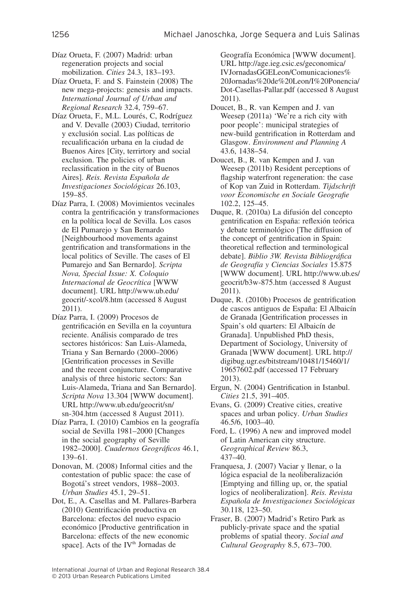- Díaz Orueta, F. (2007) Madrid: urban regeneration projects and social mobilization. *Cities* 24.3, 183–193.
- Díaz Orueta, F. and S. Fainstein (2008) The new mega-projects: genesis and impacts. *International Journal of Urban and Regional Research* 32.4, 759–67.
- Díaz Orueta, F., M.L. Lourés, C, Rodríguez and V. Devalle (2003) Ciudad, territorio y exclusión social. Las políticas de recualificación urbana en la ciudad de Buenos Aires [City, terrirtory and social exclusion. The policies of urban reclassification in the city of Buenos Aires]. *Reis. Revista Española de Investigaciones Sociológicas* 26.103, 159–85.
- Díaz Parra, I. (2008) Movimientos vecinales contra la gentrificación y transformaciones en la política local de Sevilla. Los casos de El Pumarejo y San Bernardo [Neighbourhood movements against gentrification and transformations in the local politics of Seville. The cases of El Pumarejo and San Bernardo]. *Scripta Nova, Special Issue: X. Coloquio Internacional de Geocrítica* [WWW document]. URL http://www.ub.edu/ geocrit/-xcol/8.htm (accessed 8 August 2011).
- Díaz Parra, I. (2009) Procesos de gentrificación en Sevilla en la coyuntura reciente. Análisis comparado de tres sectores históricos: San Luis-Alameda, Triana y San Bernardo (2000–2006) [Gentrification processes in Seville and the recent conjuncture. Comparative analysis of three historic sectors: San Luis-Alameda, Triana and San Bernardo]. *Scripta Nova* 13.304 [WWW document]. URL http://www.ub.edu/geocrit/sn/ sn-304.htm (accessed 8 August 2011).
- Díaz Parra, I. (2010) Cambios en la geografía social de Sevilla 1981–2000 [Changes in the social geography of Seville 1982–2000]. *Cuadernos Geográficos* 46.1, 139–61.
- Donovan, M. (2008) Informal cities and the contestation of public space: the case of Bogotá's street vendors, 1988–2003. *Urban Studies* 45.1, 29–51.
- Dot, E., A. Casellas and M. Pallares-Barbera (2010) Gentrificación productiva en Barcelona: efectos del nuevo espacio económico [Productive gentrification in Barcelona: effects of the new economic space]. Acts of the IV<sup>th</sup> Jornadas de

Geografía Económica [WWW document]. URL http://age.ieg.csic.es/geconomica/ IVJornadasGGELeon/Comunicaciones% 20Jornadas%20de%20Leon/I%20Ponencia/ Dot-Casellas-Pallar.pdf (accessed 8 August 2011).

- Doucet, B., R. van Kempen and J. van Weesep (2011a) 'We're a rich city with poor people': municipal strategies of new-build gentrification in Rotterdam and Glasgow. *Environment and Planning A* 43.6, 1438–54.
- Doucet, B., R. van Kempen and J. van Weesep (2011b) Resident perceptions of flagship waterfront regeneration: the case of Kop van Zuid in Rotterdam. *Tijdschrift voor Economische en Sociale Geografie* 102.2, 125–45.
- Duque, R. (2010a) La difusión del concepto gentrification en España: reflexión teórica y debate terminológico [The diffusion of the concept of gentrification in Spain: theoretical reflection and terminological debate]. *Biblio 3W. Revista Bibliográfica de Geografía y Ciencias Sociales* 15.875 [WWW document]. URL http://www.ub.es/ geocrit/b3w-875.htm (accessed 8 August 2011).
- Duque, R. (2010b) Procesos de gentrification de cascos antiguos de España: El Albaicín de Granada [Gentrification processes in Spain's old quarters: El Albaicín de Granada]. Unpublished PhD thesis, Department of Sociology, University of Granada [WWW document]. URL http:// digibug.ugr.es/bitstream/10481/15460/1/ 19657602.pdf (accessed 17 February 2013).
- Ergun, N. (2004) Gentrification in Istanbul. *Cities* 21.5, 391–405.
- Evans, G. (2009) Creative cities, creative spaces and urban policy. *Urban Studies* 46.5/6, 1003–40.
- Ford, L. (1996) A new and improved model of Latin American city structure. *Geographical Review* 86.3, 437–40.
- Franquesa, J. (2007) Vaciar y llenar, o la lógica espacial de la neoliberalización [Emptying and filling up, or, the spatial logics of neoliberalization]. *Reis. Revista Española de Investigaciones Sociológicas* 30.118, 123–50.
- Fraser, B. (2007) Madrid's Retiro Park as publicly-private space and the spatial problems of spatial theory. *Social and Cultural Geography* 8.5, 673–700.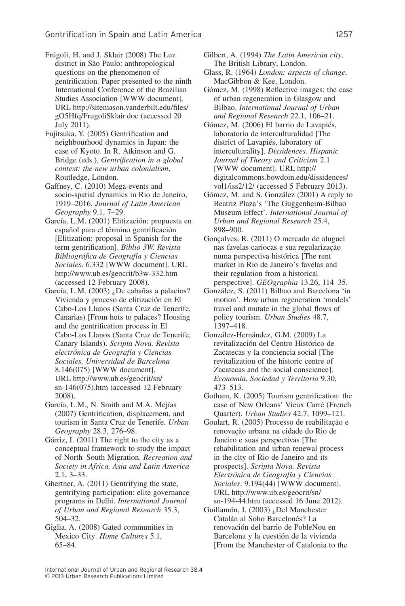- Frúgoli, H. and J. Sklair (2008) The Luz district in São Paulo: anthropological questions on the phenomenon of gentrification. Paper presented to the ninth International Conference of the Brazilian Studies Association [WWW document]. URL http://sitemason.vanderbilt.edu/files/ gO5Hfq/FrugoliSklair.doc (accessed 20 July 2011).
- Fujitsuka, Y. (2005) Gentrification and neighbourhood dynamics in Japan: the case of Kyoto. In R. Atkinson and G. Bridge (eds.), *Gentrification in a global context: the new urban colonialism*, Routledge, London.
- Gaffney, C. (2010) Mega-events and socio-spatial dynamics in Rio de Janeiro, 1919–2016. *Journal of Latin American Geography* 9.1, 7–29.
- García, L.M. (2001) Elitización: propuesta en español para el término gentrificación [Elitization: proposal in Spanish for the term gentrification]. *Biblio 3W. Revista Bibliográfica de Geografía y Ciencias Sociales*. 6.332 [WWW document]. URL http://www.ub.es/geocrit/b3w-332.htm (accessed 12 February 2008).
- García, L.M. (2003) ¿De cabañas a palacios? Vivienda y proceso de elitización en El Cabo-Los Llanos (Santa Cruz de Tenerife, Canarias) [From huts to palaces? Housing and the gentrification process in El Cabo-Los Llanos (Santa Cruz de Tenerife, Canary Islands). *Scripta Nova. Revista electrónica de Geografía y Ciencias Sociales, Universidad de Barcelona* 8.146(075) [WWW document]. URL http://www.ub.es/geocrit/sn/ sn-146(075).htm (accessed 12 February 2008).
- García, L.M., N. Smith and M.A. Mejías (2007) Gentrification, displacement, and tourism in Santa Cruz de Tenerife. *Urban Geography* 28.3, 276–98.
- Gárriz, I. (2011) The right to the city as a conceptual framework to study the impact of North–South Migration. *Recreation and Society in Africa, Asia and Latin America* 2.1, 3–33.
- Ghertner, A. (2011) Gentrifying the state, gentrifying participation: elite governance programs in Delhi. *International Journal of Urban and Regional Research* 35.3, 504–32.
- Giglia, A. (2008) Gated communities in Mexico City. *Home Cultures* 5.1, 65–84.
- Gilbert, A. (1994) *The Latin American city*. The British Library, London.
- Glass, R. (1964) *London: aspects of change*. MacGibbon & Kee, London.
- Gómez, M. (1998) Reflective images: the case of urban regeneration in Glasgow and Bilbao. *International Journal of Urban and Regional Research* 22.1, 106–21.
- Gómez, M. (2006) El barrio de Lavapiés, laboratorio de interculturalidad [The district of Lavapiés, laboratory of interculturality]. *Dissidences. Hispanic Journal of Theory and Criticism* 2.1 [WWW document]. URL http:// digitalcommons.bowdoin.edu/dissidences/ vol1/iss2/12/ (accessed 5 February 2013).
- Gómez, M. and S. González (2001) A reply to Beatriz Plaza's 'The Guggenheim-Bilbao Museum Effect'. *International Journal of Urban and Regional Research* 25.4, 898–900.
- Gonçalves, R. (2011) O mercado de aluguel nas favelas cariocas e sua regularização numa perspectiva histórica [The rent market in Rio de Janeiro's favelas and their regulation from a historical perspective]. *GEOgraphia* 13.26, 114–35.
- González, S. (2011) Bilbao and Barcelona 'in motion'. How urban regeneration 'models' travel and mutate in the global flows of policy tourism. *Urban Studies* 48.7, 1397–418.
- González-Hernández, G.M. (2009) La revitalización del Centro Histórico de Zacatecas y la conciencia social [The revitalization of the historic centre of Zacatecas and the social conscience]. *Economía, Sociedad y Territorio* 9.30, 473–513.
- Gotham, K. (2005) Tourism gentrification: the case of New Orleans' Vieux Carré (French Quarter). *Urban Studies* 42.7, 1099–121.
- Goulart, R. (2005) Processo de reabilitação e renovação urbana na cidade do Rio de Janeiro e suas perspectivas [The rehabilitation and urban renewal process in the city of Rio de Janeiro and its prospects]. *Scripta Nova. Revista Electrónica de Geografía y Ciencias Sociales*. 9.194(44) [WWW document]. URL http://www.ub.es/geocrit/sn/ sn-194-44.htm (accessed 16 June 2012).
- Guillamón, I. (2003) ¿Del Manchester Catalán al Soho Barcelonés? La renovación del barrio de PobleNou en Barcelona y la cuestión de la vivienda [From the Manchester of Catalonia to the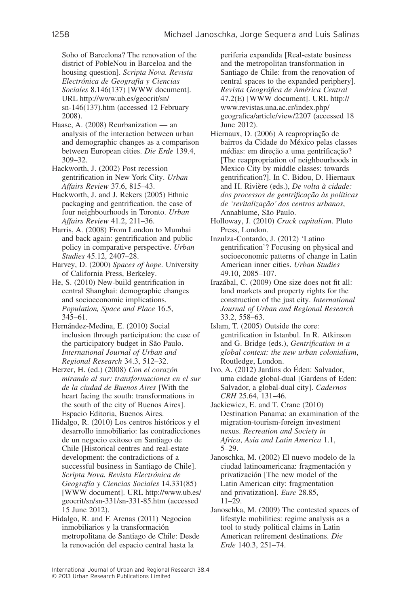Soho of Barcelona? The renovation of the district of PobleNou in Barceloa and the housing question]. *Scripta Nova. Revista Electrónica de Geografía y Ciencias Sociales* 8.146(137) [WWW document]. URL http://www.ub.es/geocrit/sn/ sn-146(137).htm (accessed 12 February 2008).

- Haase, A. (2008) Reurbanization an analysis of the interaction between urban and demographic changes as a comparison between European cities. *Die Erde* 139.4, 309–32.
- Hackworth, J. (2002) Post recession gentrification in New York City. *Urban Affairs Review* 37.6, 815–43.
- Hackworth, J. and J. Rekers (2005) Ethnic packaging and gentrification. the case of four neighbourhoods in Toronto. *Urban Affairs Review* 41.2, 211–36.
- Harris, A. (2008) From London to Mumbai and back again: gentrification and public policy in comparative perspective. *Urban Studies* 45.12, 2407–28.
- Harvey, D. (2000) *Spaces of hope*. University of California Press, Berkeley.

He, S. (2010) New-build gentrification in central Shanghai: demographic changes and socioeconomic implications. *Population, Space and Place* 16.5, 345–61.

Hernández-Medina, E. (2010) Social inclusion through participation: the case of the participatory budget in São Paulo. *International Journal of Urban and Regional Research* 34.3, 512–32.

Herzer, H. (ed.) (2008) *Con el corazón mirando al sur: transformaciones en el sur de la ciudad de Buenos Aires* [With the heart facing the south: transformations in the south of the city of Buenos Aires]. Espacio Editoria, Buenos Aires.

Hidalgo, R. (2010) Los centros históricos y el desarrollo inmobiliario: las contradicciones de un negocio exitoso en Santiago de Chile [Historical centres and real-estate development: the contradictions of a successful business in Santiago de Chile]. *Scripta Nova. Revista Electrónica de Geografía y Ciencias Sociales* 14.331(85) [WWW document]. URL http://www.ub.es/ geocrit/sn/sn-331/sn-331-85.htm (accessed 15 June 2012).

Hidalgo, R. and F. Arenas (2011) Negocioa inmobiliarios y la transformación metropolitana de Santiago de Chile: Desde la renovación del espacio central hasta la

periferia expandida [Real-estate business and the metropolitan transformation in Santiago de Chile: from the renovation of central spaces to the expanded periphery]. *Revista Geográfica de América Central* 47.2(E) [WWW document]. URL http:// www.revistas.una.ac.cr/index.php/ geografica/article/view/2207 (accessed 18 June 2012).

- Hiernaux, D. (2006) A reapropriação de bairros da Cidade do México pelas classes médias: em direção a uma gentrificação? [The reappropriation of neighbourhoods in Mexico City by middle classes: towards gentrification?]. In C. Bidou, D. Hiernaux and H. Rivière (eds.), *De volta à cidade: dos processos de gentrificação às políticas de 'revitalização' dos centros urbanos*, Annablume, São Paulo.
- Holloway, J. (2010) *Crack capitalism*. Pluto Press, London.

Inzulza-Contardo, J. (2012) 'Latino gentrification'? Focusing on physical and socioeconomic patterns of change in Latin American inner cities. *Urban Studies* 49.10, 2085–107.

Irazábal, C. (2009) One size does not fit all: land markets and property rights for the construction of the just city. *International Journal of Urban and Regional Research* 33.2, 558–63.

Islam, T. (2005) Outside the core: gentrification in Istanbul. In R. Atkinson and G. Bridge (eds.), *Gentrification in a global context: the new urban colonialism*, Routledge, London.

Ivo, A. (2012) Jardins do Éden: Salvador, uma cidade global-dual [Gardens of Eden: Salvador, a global-dual city]. *Cadernos CRH* 25.64, 131–46.

Jackiewicz, E. and T. Crane (2010) Destination Panama: an examination of the migration-tourism-foreign investment nexus. *Recreation and Society in Africa*, *Asia and Latin America* 1.1, 5–29.

Janoschka, M. (2002) El nuevo modelo de la ciudad latinoamericana: fragmentación y privatización [The new model of the Latin American city: fragmentation and privatization]. *Eure* 28.85, 11–29.

Janoschka, M. (2009) The contested spaces of lifestyle mobilities: regime analysis as a tool to study political claims in Latin American retirement destinations. *Die Erde* 140.3, 251–74.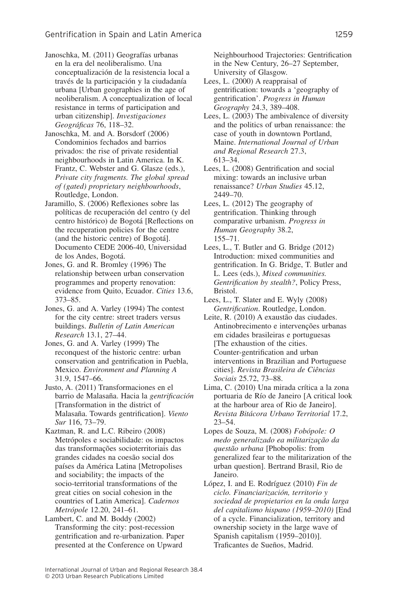- Janoschka, M. (2011) Geografías urbanas en la era del neoliberalismo. Una conceptualización de la resistencia local a través de la participación y la ciudadanía urbana [Urban geographies in the age of neoliberalism. A conceptualization of local resistance in terms of participation and urban citizenship]. *Investigaciones Geográficas* 76, 118–32.
- Janoschka, M. and A. Borsdorf (2006) Condominios fechados and barrios privados: the rise of private residential neighbourhoods in Latin America. In K. Frantz, C. Webster and G. Glasze (eds.), *Private city fragments. The global spread of (gated) proprietary neighbourhoods*, Routledge, London.
- Jaramillo, S. (2006) Reflexiones sobre las políticas de recuperación del centro (y del centro histórico) de Bogotá [Reflections on the recuperation policies for the centre (and the historic centre) of Bogotá]. Documento CEDE 2006-40, Universidad de los Andes, Bogotá.
- Jones, G. and R. Bromley (1996) The relationship between urban conservation programmes and property renovation: evidence from Quito, Ecuador. *Cities* 13.6, 373–85.
- Jones, G. and A. Varley (1994) The contest for the city centre: street traders versus buildings. *Bulletin of Latin American Research* 13.1, 27–44.
- Jones, G. and A. Varley (1999) The reconquest of the historic centre: urban conservation and gentrification in Puebla, Mexico. *Environment and Planning A* 31.9, 1547–66.
- Justo, A. (2011) Transformaciones en el barrio de Malasaña. Hacia la *gentrificación* [Transformation in the district of Malasaña. Towards gentrification]. *Viento Sur* 116, 73–79.
- Kaztman, R. and L.C. Ribeiro (2008) Metrópoles e sociabilidade: os impactos das transformações socioterritoriais das grandes cidades na coesão social dos países da América Latina [Metropolises and sociability; the impacts of the socio-territorial transformations of the great cities on social cohesion in the countries of Latin America]. *Cadernos Metrópole* 12.20, 241–61.
- Lambert, C. and M. Boddy (2002) Transforming the city: post-recession gentrification and re-urbanization. Paper presented at the Conference on Upward

Neighbourhood Trajectories: Gentrification in the New Century, 26–27 September, University of Glasgow.

Lees, L. (2000) A reappraisal of gentrification: towards a 'geography of gentrification'. *Progress in Human Geography* 24.3, 389–408.

Lees, L. (2003) The ambivalence of diversity and the politics of urban renaissance: the case of youth in downtown Portland, Maine. *International Journal of Urban and Regional Research* 27.3, 613–34.

- Lees, L. (2008) Gentrification and social mixing: towards an inclusive urban renaissance? *Urban Studies* 45.12, 2449–70.
- Lees, L. (2012) The geography of gentrification. Thinking through comparative urbanism. *Progress in Human Geography* 38.2, 155–71.
- Lees, L., T. Butler and G. Bridge (2012) Introduction: mixed communities and gentrification. In G. Bridge, T. Butler and L. Lees (eds.), *Mixed communities. Gentrification by stealth?*, Policy Press, Bristol.
- Lees, L., T. Slater and E. Wyly (2008) *Gentrification*. Routledge, London.
- Leite, R. (2010) A exaustão das ciudades. Antinobrecimento e intervenções urbanas em cidades brasileiras e portuguesas [The exhaustion of the cities.] Counter-gentrification and urban interventions in Brazilian and Portuguese cities]. *Revista Brasileira de Ciências Sociais* 25.72, 73–88.
- Lima, C. (2010) Una mirada crítica a la zona portuaria de Río de Janeiro [A critical look at the harbour area of Rio de Janeiro]. *Revista Bitácora Urbano Territorial* 17.2, 23–54.
- Lopes de Souza, M. (2008) *Fobópole: O medo generalizado ea militarização da questão urbana* [Phobopolis: from generalized fear to the militarization of the urban question]. Bertrand Brasil, Rio de Janeiro.
- López, I. and E. Rodríguez (2010) *Fin de ciclo. Financiarización, territorio y sociedad de propietarios en la onda larga del capitalismo hispano (1959–2010)* [End of a cycle. Financialization, territory and ownership society in the large wave of Spanish capitalism (1959–2010)]. Traficantes de Sueños, Madrid.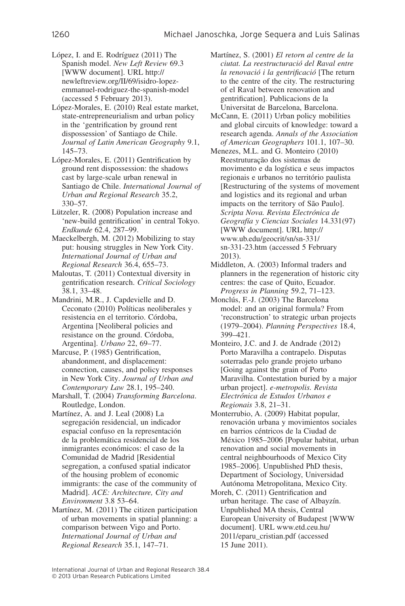- López, I. and E. Rodríguez (2011) The Spanish model. *New Left Review* 69.3 [WWW document]. URL http:// newleftreview.org/II/69/isidro-lopezemmanuel-rodriguez-the-spanish-model (accessed 5 February 2013).
- López-Morales, E. (2010) Real estate market, state-entrepreneurialism and urban policy in the 'gentrification by ground rent dispossession' of Santiago de Chile. *Journal of Latin American Geography* 9.1, 145–73.
- López-Morales, E. (2011) Gentrification by ground rent dispossession: the shadows cast by large-scale urban renewal in Santiago de Chile. *International Journal of Urban and Regional Research* 35.2, 330–57.
- Lützeler, R. (2008) Population increase and 'new-build gentrification' in central Tokyo. *Erdkunde* 62.4, 287–99.
- Maeckelbergh, M. (2012) Mobilizing to stay put: housing struggles in New York City. *International Journal of Urban and Regional Research* 36.4, 655–73.
- Maloutas, T. (2011) Contextual diversity in gentrification research. *Critical Sociology* 38.1, 33–48.
- Mandrini, M.R., J. Capdevielle and D. Ceconato (2010) Políticas neoliberales y resistencia en el territorio. Córdoba, Argentina [Neoliberal policies and resistance on the ground. Córdoba, Argentina]. *Urbano* 22, 69–77.
- Marcuse, P. (1985) Gentrification, abandonment, and displacement: connection, causes, and policy responses in New York City. *Journal of Urban and Contemporary Law* 28.1, 195–240.
- Marshall, T. (2004) *Transforming Barcelona*. Routledge, London.
- Martínez, A. and J. Leal (2008) La segregación residencial, un indicador espacial confuso en la representación de la problemática residencial de los inmigrantes económicos: el caso de la Comunidad de Madrid [Residential segregation, a confused spatial indicator of the housing problem of economic immigrants: the case of the community of Madrid]. *ACE: Architecture, City and Environment* 3.8 53–64.
- Martínez, M. (2011) The citizen participation of urban movements in spatial planning: a comparison between Vigo and Porto. *International Journal of Urban and Regional Research* 35.1, 147–71.
- Martínez, S. (2001) *El retorn al centre de la ciutat. La reestructuració del Raval entre la renovació i la gentrificació* [The return to the centre of the city. The restructuring of el Raval between renovation and gentrification]. Publicacions de la Universitat de Barcelona, Barcelona.
- McCann, E. (2011) Urban policy mobilities and global circuits of knowledge: toward a research agenda. *Annals of the Association of American Geographers* 101.1, 107–30.
- Menezes, M.L. and G. Monteiro (2010) Reestruturação dos sistemas de movimento e da logística e seus impactos regionais e urbanos no território paulista [Restructuring of the systems of movement and logistics and its regional and urban impacts on the territory of São Paulo]. *Scripta Nova. Revista Electrónica de Geografía y Ciencias Sociales* 14.331(97) [WWW document]. URL http:// www.ub.edu/geocrit/sn/sn-331/ sn-331-23.htm (accessed 5 February 2013).
- Middleton, A. (2003) Informal traders and planners in the regeneration of historic city centres: the case of Quito, Ecuador. *Progress in Planning* 59.2, 71–123.
- Monclús, F.-J. (2003) The Barcelona model: and an original formula? From 'reconstruction' to strategic urban projects (1979–2004). *Planning Perspectives* 18.4, 399–421.
- Monteiro, J.C. and J. de Andrade (2012) Porto Maravilha a contrapelo. Disputas soterradas pelo grande projeto urbano [Going against the grain of Porto Maravilha. Contestation buried by a major urban project]. *e-metropolis. Revista Electrónica de Estudos Urbanos e Regionais* 3.8, 21–31.
- Monterrubio, A. (2009) Habitat popular, renovación urbana y movimientos sociales en barrios céntricos de la Ciudad de México 1985–2006 [Popular habitat, urban renovation and social movements in central neighbourhoods of Mexico City 1985–2006]. Unpublished PhD thesis, Department of Sociology, Universidad Autónoma Metropolitana, Mexico City.
- Moreh, C. (2011) Gentrification and urban heritage. The case of Albayzín. Unpublished MA thesis, Central European University of Budapest [WWW document]. URL www.etd.ceu.hu/ 2011/eparu\_cristian.pdf (accessed 15 June 2011).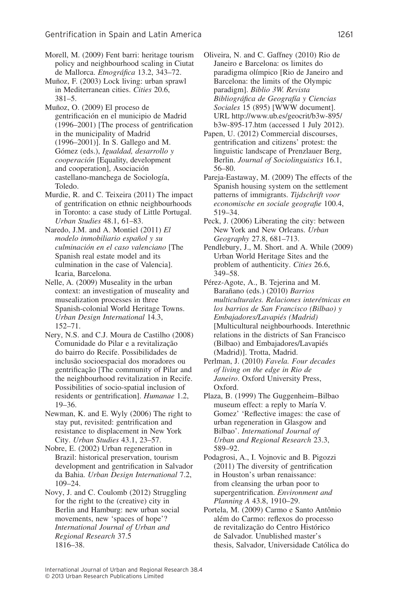- Morell, M. (2009) Fent barri: heritage tourism policy and neighbourhood scaling in Ciutat de Mallorca. *Etnográfica* 13.2, 343–72.
- Muñoz, F. (2003) Lock living: urban sprawl in Mediterranean cities. *Cities* 20.6, 381–5.
- Muñoz, O. (2009) El proceso de gentrificación en el municipio de Madrid (1996–2001) [The process of gentrification in the municipality of Madrid (1996–2001)]. In S. Gallego and M. Gómez (eds.), *Igualdad, desarrollo y cooperación* [Equality, development and cooperation], Asociación castellano-manchega de Sociología, Toledo.
- Murdie, R. and C. Teixeira (2011) The impact of gentrification on ethnic neighbourhoods in Toronto: a case study of Little Portugal. *Urban Studies* 48.1, 61–83.
- Naredo, J.M. and A. Montiel (2011) *El modelo inmobiliario español y su culminación en el caso valenciano* [The Spanish real estate model and its culmination in the case of Valencia]. Icaria, Barcelona.
- Nelle, A. (2009) Museality in the urban context: an investigation of museality and musealization processes in three Spanish-colonial World Heritage Towns. *Urban Design International* 14.3, 152–71.
- Nery, N.S. and C.J. Moura de Castilho (2008) Comunidade do Pilar e a revitalização do bairro do Recife. Possibilidades de inclusão socioespacial dos moradores ou gentrificação [The community of Pilar and the neighbourhood revitalization in Recife. Possibilities of socio-spatial inclusion of residents or gentrification]. *Humanae* 1.2, 19–36.
- Newman, K. and E. Wyly (2006) The right to stay put, revisited: gentrification and resistance to displacement in New York City. *Urban Studies* 43.1, 23–57.
- Nobre, E. (2002) Urban regeneration in Brazil: historical preservation, tourism development and gentrification in Salvador da Bahia. *Urban Design International* 7.2, 109–24.
- Novy, J. and C. Coulomb (2012) Struggling for the right to the (creative) city in Berlin and Hamburg: new urban social movements, new 'spaces of hope'? *International Journal of Urban and Regional Research* 37.5 1816–38.
- Oliveira, N. and C. Gaffney (2010) Rio de Janeiro e Barcelona: os limites do paradigma olímpico [Rio de Janeiro and Barcelona: the limits of the Olympic paradigm]. *Biblio 3W. Revista Bibliográfica de Geografía y Ciencias Sociales* 15 (895) [WWW document]. URL http://www.ub.es/geocrit/b3w-895/ b3w-895-17.htm (accessed 1 July 2012).
- Papen, U. (2012) Commercial discourses, gentrification and citizens' protest: the linguistic landscape of Prenzlauer Berg, Berlin. *Journal of Sociolinguistics* 16.1, 56–80.
- Pareja-Eastaway, M. (2009) The effects of the Spanish housing system on the settlement patterns of immigrants. *Tijdschrift voor economische en sociale geografie* 100.4, 519–34.
- Peck, J. (2006) Liberating the city: between New York and New Orleans. *Urban Geography* 27.8, 681–713.
- Pendlebury, J., M. Short. and A. While (2009) Urban World Heritage Sites and the problem of authenticity. *Cities* 26.6, 349–58.
- Pérez-Agote, A., B. Tejerina and M. Barañano (eds.) (2010) *Barrios multiculturales. Relaciones interétnicas en los barrios de San Francisco (Bilbao) y Embajadores/Lavapiés (Madrid)* [Multicultural neighbourhoods. Interethnic relations in the districts of San Francisco (Bilbao) and Embajadores/Lavapiés (Madrid)]. Trotta, Madrid.
- Perlman, J. (2010) *Favela. Four decades of living on the edge in Rio de Janeiro*. Oxford University Press, Oxford.
- Plaza, B. (1999) The Guggenheim–Bilbao museum effect: a reply to María V. Gomez' 'Reflective images: the case of urban regeneration in Glasgow and Bilbao'. *International Journal of Urban and Regional Research* 23.3, 589–92.
- Podagrosi, A., I. Vojnovic and B. Pigozzi (2011) The diversity of gentrification in Houston's urban renaissance: from cleansing the urban poor to supergentrification. *Environment and Planning A* 43.8, 1910–29.
- Portela, M. (2009) Carmo e Santo Antônio além do Carmo: reflexos do processo de revitalização do Centro Histórico de Salvador. Unublished master's thesis, Salvador, Universidade Católica do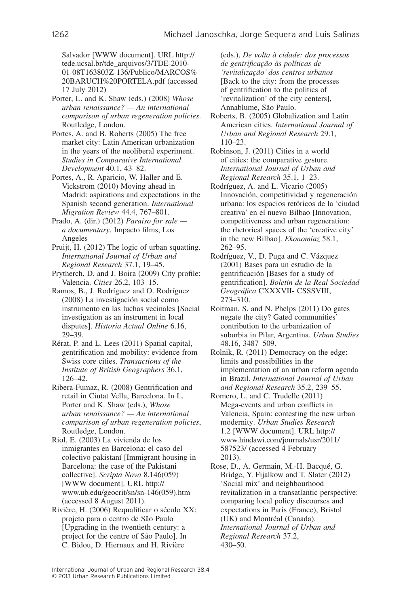Salvador [WWW document]. URL http:// tede.ucsal.br/tde\_arquivos/3/TDE-2010- 01-08T163803Z-136/Publico/MARCOS% 20BARUCH%20PORTELA.pdf (accessed 17 July 2012)

Porter, L. and K. Shaw (eds.) (2008) *Whose urban renaissance? — An international comparison of urban regeneration policies*. Routledge, London.

Portes, A. and B. Roberts (2005) The free market city: Latin American urbanization in the years of the neoliberal experiment. *Studies in Comparative International Development* 40.1, 43–82.

Portes, A., R. Aparicio, W. Haller and E. Vickstrom (2010) Moving ahead in Madrid: aspirations and expectations in the Spanish second generation. *International Migration Review* 44.4, 767–801.

Prado, A. (dir.) (2012) *Paraiso for sale a documentary*. Impacto films, Los Angeles

Pruijt, H. (2012) The logic of urban squatting. *International Journal of Urban and Regional Research* 37.1, 19–45.

Prytherch, D. and J. Boira (2009) City profile: Valencia. *Cities* 26.2, 103–15.

Ramos, B., J. Rodríguez and O. Rodríguez (2008) La investigación social como instrumento en las luchas vecinales [Social investigation as an instrument in local disputes]. *Historia Actual Online* 6.16, 29–39.

Rérat, P. and L. Lees (2011) Spatial capital, gentrification and mobility: evidence from Swiss core cities. *Transactions of the Institute of British Geographers* 36.1, 126–42.

Ribera-Fumaz, R. (2008) Gentrification and retail in Ciutat Vella, Barcelona. In L. Porter and K. Shaw (eds.), *Whose urban renaissance? — An international comparison of urban regeneration policies*, Routledge, London.

Riol, E. (2003) La vivienda de los inmigrantes en Barcelona: el caso del colectivo pakistaní [Immigrant housing in Barcelona: the case of the Pakistani collective]. *Scripta Nova* 8.146(059) [WWW document]. URL http:// www.ub.edu/geocrit/sn/sn-146(059).htm (accessed 8 August 2011).

Rivière, H. (2006) Requalificar o século XX: projeto para o centro de São Paulo [Upgrading in the twentieth century: a project for the centre of São Paulo]. In C. Bidou, D. Hiernaux and H. Rivière

(eds.), *De volta à cidade: dos processos de gentrificação às políticas de 'revitalização' dos centros urbanos* [Back to the city: from the processes of gentrification to the politics of 'revitalization' of the city centers], Annablume, São Paulo.

Roberts, B. (2005) Globalization and Latin American cities. *International Journal of Urban and Regional Research* 29.1, 110–23.

Robinson, J. (2011) Cities in a world of cities: the comparative gesture. *International Journal of Urban and Regional Research* 35.1, 1–23.

Rodríguez, A. and L. Vicario (2005) Innovación, competitividad y regeneración urbana: los espacios retóricos de la 'ciudad creativa' en el nuevo Bilbao [Innovation, competitiveness and urban regeneration: the rhetorical spaces of the 'creative city' in the new Bilbao]. *Ekonomiaz* 58.1, 262–95.

Rodríguez, V., D. Puga and C. Vázquez (2001) Bases para un estudio de la gentrificación [Bases for a study of gentrification]. *Boletín de la Real Sociedad Geográfica* CXXXVII- CSSSVIII, 273–310.

Roitman, S. and N. Phelps (2011) Do gates negate the city? Gated communities' contribution to the urbanization of suburbia in Pilar, Argentina. *Urban Studies* 48.16, 3487–509.

Rolnik, R. (2011) Democracy on the edge: limits and possibilities in the implementation of an urban reform agenda in Brazil. *International Journal of Urban and Regional Research* 35.2, 239–55.

Romero, L. and C. Trudelle (2011) Mega-events and urban conflicts in Valencia, Spain: contesting the new urban modernity. *Urban Studies Research* 1.2 [WWW document]. URL http:// www.hindawi.com/journals/usr/2011/ 587523/ (accessed 4 February 2013).

Rose, D., A. Germain, M.-H. Bacqué, G. Bridge, Y. Fijalkow and T. Slater (2012) 'Social mix' and neighbourhood revitalization in a transatlantic perspective: comparing local policy discourses and expectations in Paris (France), Bristol (UK) and Montréal (Canada). *International Journal of Urban and Regional Research* 37.2,  $430 - 50$ .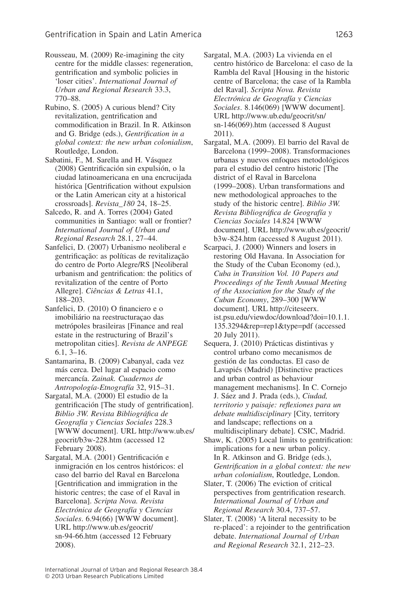- Rousseau, M. (2009) Re-imagining the city centre for the middle classes: regeneration, gentrification and symbolic policies in 'loser cities'. *International Journal of Urban and Regional Research* 33.3, 770–88.
- Rubino, S. (2005) A curious blend? City revitalization, gentrification and commodification in Brazil. In R. Atkinson and G. Bridge (eds.), *Gentrification in a global context: the new urban colonialism*, Routledge, London.
- Sabatini, F., M. Sarella and H. Vásquez (2008) Gentrificación sin expulsión, o la ciudad latinoamericana en una encrucijada histórica [Gentrification without expulsion or the Latin American city at a historical crossroads]. *Revista\_180* 24, 18–25.
- Salcedo, R. and A. Torres (2004) Gated communities in Santiago: wall or frontier? *International Journal of Urban and Regional Research* 28.1, 27–44.
- Sanfelici, D. (2007) Urbanismo neoliberal e gentrificação: as políticas de revitalização do centro de Porto Alegre/RS [Neoliberal urbanism and gentrification: the politics of revitalization of the centre of Porto Allegre]. *Ciências & Letras* 41.1, 188–203.
- Sanfelici, D. (2010) O financiero e o imobiliário na reestructuraçao das metrópoles brasileiras [Finance and real estate in the restructuring of Brazil's metropolitan cities]. *Revista de ANPEGE* 6.1, 3–16.
- Santamarina, B. (2009) Cabanyal, cada vez más cerca. Del lugar al espacio como mercancía. *Zainak. Cuadernos de Antropología-Etnografía* 32, 915–31.
- Sargatal, M.A. (2000) El estudio de la gentrificación [The study of gentrification]. *Biblio 3W. Revista Bibliográfica de Geografía y Ciencias Sociales* 228.3 [WWW document]. URL http://www.ub.es/ geocrit/b3w-228.htm (accessed 12 February 2008).
- Sargatal, M.A. (2001) Gentrificación e inmigración en los centros históricos: el caso del barrio del Raval en Barcelona [Gentrification and immigration in the historic centres; the case of el Raval in Barcelona]. *Scripta Nova. Revista Electrónica de Geografía y Ciencias Sociales*. 6.94(66) [WWW document]. URL http://www.ub.es/geocrit/ sn-94-66.htm (accessed 12 February 2008).
- Sargatal, M.A. (2003) La vivienda en el centro histórico de Barcelona: el caso de la Rambla del Raval [Housing in the historic centre of Barcelona; the case of la Rambla del Raval]. *Scripta Nova. Revista Electrónica de Geografía y Ciencias Sociales*. 8.146(069) [WWW document]. URL http://www.ub.edu/geocrit/sn/ sn-146(069).htm (accessed 8 August 2011).
- Sargatal, M.A. (2009). El barrio del Raval de Barcelona (1999–2008). Transformaciones urbanas y nuevos enfoques metodológicos para el estudio del centro historic [The district of el Raval in Barcelona (1999–2008). Urban transformations and new methodological approaches to the study of the historic centre]. *Biblio 3W. Revista Bibliográfica de Geografía y Ciencias Sociales* 14.824 [WWW document]. URL http://www.ub.es/geocrit/ b3w-824.htm (accessed 8 August 2011).
- Scarpaci, J. (2000) Winners and losers in restoring Old Havana. In Association for the Study of the Cuban Economy (ed.), *Cuba in Transition Vol. 10 Papers and Proceedings of the Tenth Annual Meeting of the Association for the Study of the Cuban Economy*, 289–300 [WWW document]. URL http://citeseerx. ist.psu.edu/viewdoc/download?doi=10.1.1. 135.3294&rep=rep1&type=pdf (accessed 20 July 2011).
- Sequera, J. (2010) Prácticas distintivas y control urbano como mecanismos de gestión de las conductas. El caso de Lavapiés (Madrid) [Distinctive practices and urban control as behaviour management mechanisms]. In C. Cornejo J. Sáez and J. Prada (eds.), *Ciudad, territorio y paisaje: reflexiones para un debate multidisciplinary* [City, territory and landscape; reflections on a multidisciplinary debate]. CSIC, Madrid.
- Shaw, K. (2005) Local limits to gentrification: implications for a new urban policy. In R. Atkinson and G. Bridge (eds.), *Gentrification in a global context: the new urban colonialism*, Routledge, London.
- Slater, T. (2006) The eviction of critical perspectives from gentrification research. *International Journal of Urban and Regional Research* 30.4, 737–57.
- Slater, T. (2008) 'A literal necessity to be re-placed': a rejoinder to the gentrification debate. *International Journal of Urban and Regional Research* 32.1, 212–23.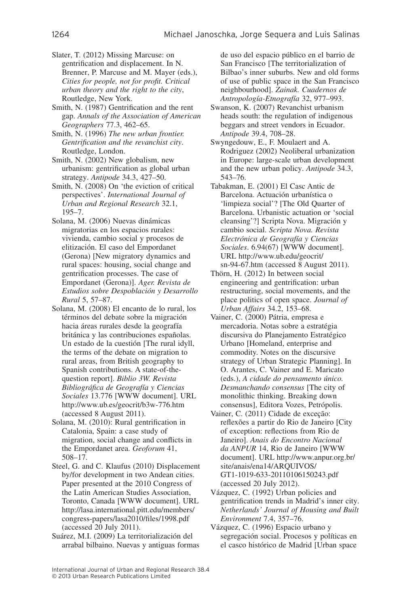- Slater, T. (2012) Missing Marcuse: on gentrification and displacement. In N. Brenner, P. Marcuse and M. Mayer (eds.), *Cities for people, not for profit. Critical urban theory and the right to the city*, Routledge, New York.
- Smith, N. (1987) Gentrification and the rent gap. *Annals of the Association of American Geographers* 77.3, 462–65.
- Smith, N. (1996) *The new urban frontier. Gentrification and the revanchist city*. Routledge, London.
- Smith, N. (2002) New globalism, new urbanism: gentrification as global urban strategy. *Antipode* 34.3, 427–50.
- Smith, N. (2008) On 'the eviction of critical perspectives'. *International Journal of Urban and Regional Research* 32.1, 195–7.
- Solana, M. (2006) Nuevas dinámicas migratorias en los espacios rurales: vivienda, cambio social y procesos de elitización. El caso del Empordanet (Gerona) [New migratory dynamics and rural spaces: housing, social change and gentrification processes. The case of Empordanet (Gerona)]. *Ager. Revista de Estudios sobre Despoblación y Desarrollo Rural* 5, 57–87.
- Solana, M. (2008) El encanto de lo rural, los términos del debate sobre la migración hacia áreas rurales desde la geografía británica y las contribuciones españolas. Un estado de la cuestión [The rural idyll, the terms of the debate on migration to rural areas, from British geography to Spanish contributions. A state-of-thequestion report]. *Biblio 3W. Revista Bibliográfica de Geografía y Ciencias Sociales* 13.776 [WWW document]. URL http://www.ub.es/geocrit/b3w-776.htm (accessed 8 August 2011).
- Solana, M. (2010): Rural gentrification in Catalonia, Spain: a case study of migration, social change and conflicts in the Empordanet area. *Geoforum* 41, 508–17.
- Steel, G. and C. Klaufus (2010) Displacement by/for development in two Andean cities. Paper presented at the 2010 Congress of the Latin American Studies Association, Toronto, Canada [WWW document]. URL http://lasa.international.pitt.edu/members/ congress-papers/lasa2010/files/1998.pdf (accessed 20 July 2011).
- Suárez, M.I. (2009) La territorialización del arrabal bilbaino. Nuevas y antiguas formas

de uso del espacio público en el barrio de San Francisco [The territorialization of Bilbao's inner suburbs. New and old forms of use of public space in the San Francisco neighbourhood]. *Zainak. Cuadernos de Antropología-Etnografía* 32, 977–993.

- Swanson, K. (2007) Revanchist urbanism heads south: the regulation of indigenous beggars and street vendors in Ecuador. *Antipode* 39.4, 708–28.
- Swyngedouw, E., F. Moulaert and A. Rodriguez (2002) Neoliberal urbanization in Europe: large-scale urban development and the new urban policy. *Antipode* 34.3, 543–76.
- Tabakman, E. (2001) El Casc Antic de Barcelona. Actuación urbanística o 'limpieza social'? [The Old Quarter of Barcelona. Urbanistic actuation or 'social cleansing'?] Scripta Nova. Migración y cambio social. *Scripta Nova. Revista Electrónica de Geografía y Ciencias Sociales*. 6.94(67) [WWW document]. URL http://www.ub.edu/geocrit/ sn-94-67.htm (accessed 8 August 2011).
- Thörn, H. (2012) In between social engineering and gentrification: urban restructuring, social movements, and the place politics of open space. *Journal of Urban Affairs* 34.2, 153–68.
- Vainer, C. (2000) Pátria, empresa e mercadoria. Notas sobre a estratégia discursiva do Planejamento Estratégico Urbano [Homeland, enterprise and commodity. Notes on the discursive strategy of Urban Strategic Planning]. In O. Arantes, C. Vainer and E. Maricato (eds.), *A cidade do pensamento único. Desmanchando consensus* [The city of monolithic thinking. Breaking down consensus], Editora Vozes, Petrópolis.
- Vainer, C. (2011) Cidade de exceção: reflexões a partir do Rio de Janeiro [City of exception: reflections from Rio de Janeiro]. *Anais do Encontro Nacional da ANPUR* 14, Rio de Janeiro [WWW document]. URL http://www.anpur.org.br/ site/anais/ena14/ARQUIVOS/ GT1-1019-633-20110106150243.pdf (accessed 20 July 2012).
- Vázquez, C. (1992) Urban policies and gentrification trends in Madrid's inner city. *Netherlands' Journal of Housing and Built Environment* 7.4, 357–76.
- Vázquez, C. (1996) Espacio urbano y segregación social. Procesos y políticas en el casco histórico de Madrid [Urban space